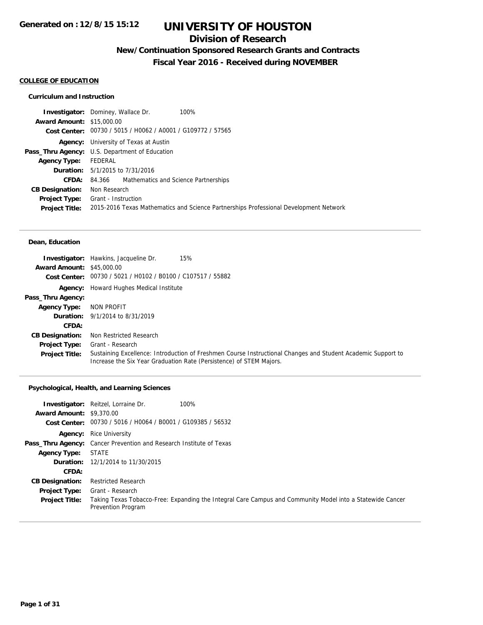## **Division of Research**

# **New/Continuation Sponsored Research Grants and Contracts**

**Fiscal Year 2016 - Received during NOVEMBER**

#### **COLLEGE OF EDUCATION**

### **Curriculum and Instruction**

|                                  | 100%<br><b>Investigator:</b> Dominey, Wallace Dr.                                     |  |
|----------------------------------|---------------------------------------------------------------------------------------|--|
| <b>Award Amount: \$15,000.00</b> |                                                                                       |  |
|                                  | Cost Center: 00730 / 5015 / H0062 / A0001 / G109772 / 57565                           |  |
|                                  | <b>Agency:</b> University of Texas at Austin                                          |  |
|                                  | <b>Pass_Thru Agency:</b> U.S. Department of Education                                 |  |
| <b>Agency Type:</b>              | FEDERAL                                                                               |  |
|                                  | <b>Duration:</b> 5/1/2015 to 7/31/2016                                                |  |
| <b>CFDA:</b>                     | 84.366 Mathematics and Science Partnerships                                           |  |
| <b>CB Designation:</b>           | Non Research                                                                          |  |
|                                  | <b>Project Type:</b> Grant - Instruction                                              |  |
| <b>Project Title:</b>            | 2015-2016 Texas Mathematics and Science Partnerships Professional Development Network |  |
|                                  |                                                                                       |  |

#### **Dean, Education**

|                                  | <b>Investigator:</b> Hawkins, Jacqueline Dr.<br>15%                                                                                                                                 |
|----------------------------------|-------------------------------------------------------------------------------------------------------------------------------------------------------------------------------------|
| <b>Award Amount: \$45,000.00</b> |                                                                                                                                                                                     |
|                                  | Cost Center: 00730 / 5021 / H0102 / B0100 / C107517 / 55882                                                                                                                         |
| Agency:                          | Howard Hughes Medical Institute                                                                                                                                                     |
| Pass_Thru Agency:                |                                                                                                                                                                                     |
| <b>Agency Type:</b>              | NON PROFIT                                                                                                                                                                          |
|                                  | <b>Duration:</b> 9/1/2014 to 8/31/2019                                                                                                                                              |
| CFDA:                            |                                                                                                                                                                                     |
| <b>CB Designation:</b>           | Non Restricted Research                                                                                                                                                             |
| <b>Project Type:</b>             | Grant - Research                                                                                                                                                                    |
| <b>Project Title:</b>            | Sustaining Excellence: Introduction of Freshmen Course Instructional Changes and Student Academic Support to<br>Increase the Six Year Graduation Rate (Persistence) of STEM Majors. |

### **Psychological, Health, and Learning Sciences**

| <b>Award Amount: \$9,370.00</b> | <b>Investigator:</b> Reitzel, Lorraine Dr.<br>100%<br>Cost Center: 00730 / 5016 / H0064 / B0001 / G109385 / 56532               |
|---------------------------------|---------------------------------------------------------------------------------------------------------------------------------|
|                                 | <b>Agency:</b> Rice University                                                                                                  |
|                                 | <b>Pass_Thru Agency:</b> Cancer Prevention and Research Institute of Texas                                                      |
| <b>Agency Type:</b>             | <b>STATE</b>                                                                                                                    |
|                                 | <b>Duration:</b> 12/1/2014 to 11/30/2015                                                                                        |
| <b>CFDA:</b>                    |                                                                                                                                 |
| <b>CB Designation:</b>          | <b>Restricted Research</b>                                                                                                      |
| <b>Project Type:</b>            | Grant - Research                                                                                                                |
| <b>Project Title:</b>           | Taking Texas Tobacco-Free: Expanding the Integral Care Campus and Community Model into a Statewide Cancer<br>Prevention Program |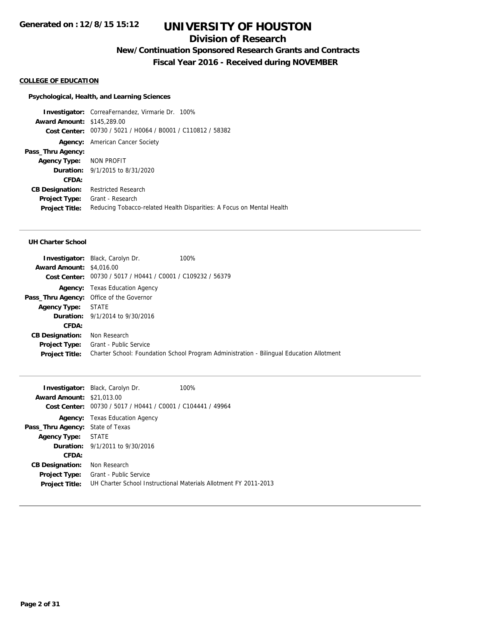## **Division of Research**

**New/Continuation Sponsored Research Grants and Contracts**

**Fiscal Year 2016 - Received during NOVEMBER**

### **COLLEGE OF EDUCATION**

#### **Psychological, Health, and Learning Sciences**

**Investigator:** CorreaFernandez, Virmarie Dr. 100% **Award Amount:** \$145,289.00 **Cost Center:** 00730 / 5021 / H0064 / B0001 / C110812 / 58382 **Agency:** American Cancer Society **Pass\_Thru Agency: Agency Type:** NON PROFIT **Duration:** 9/1/2015 to 8/31/2020 **CFDA: CB Designation:** Restricted Research **Project Type:** Grant - Research **Project Title:** Reducing Tobacco-related Health Disparities: A Focus on Mental Health

|                                 | <b>Investigator:</b> Black, Carolyn Dr.                     | 100%                                                                                     |
|---------------------------------|-------------------------------------------------------------|------------------------------------------------------------------------------------------|
| <b>Award Amount: \$4,016.00</b> |                                                             |                                                                                          |
|                                 | Cost Center: 00730 / 5017 / H0441 / C0001 / C109232 / 56379 |                                                                                          |
|                                 | <b>Agency:</b> Texas Education Agency                       |                                                                                          |
|                                 | Pass_Thru Agency: Office of the Governor                    |                                                                                          |
| Agency Type: STATE              |                                                             |                                                                                          |
|                                 | <b>Duration:</b> 9/1/2014 to 9/30/2016                      |                                                                                          |
| CFDA:                           |                                                             |                                                                                          |
| <b>CB Designation:</b>          | Non Research                                                |                                                                                          |
| <b>Project Type:</b>            | Grant - Public Service                                      |                                                                                          |
| <b>Project Title:</b>           |                                                             | Charter School: Foundation School Program Administration - Bilingual Education Allotment |
|                                 |                                                             |                                                                                          |

|                                         | <b>Investigator:</b> Black, Carolyn Dr.        | 100%                                                             |
|-----------------------------------------|------------------------------------------------|------------------------------------------------------------------|
| <b>Award Amount: \$21,013.00</b>        |                                                |                                                                  |
| <b>Cost Center:</b>                     | 00730 / 5017 / H0441 / C0001 / C104441 / 49964 |                                                                  |
|                                         | <b>Agency:</b> Texas Education Agency          |                                                                  |
| <b>Pass_Thru Agency: State of Texas</b> |                                                |                                                                  |
| <b>Agency Type:</b>                     | STATE                                          |                                                                  |
|                                         | <b>Duration:</b> $9/1/2011$ to $9/30/2016$     |                                                                  |
| CFDA:                                   |                                                |                                                                  |
| <b>CB Designation:</b>                  | Non Research                                   |                                                                  |
| Project Type:                           | Grant - Public Service                         |                                                                  |
| <b>Project Title:</b>                   |                                                | UH Charter School Instructional Materials Allotment FY 2011-2013 |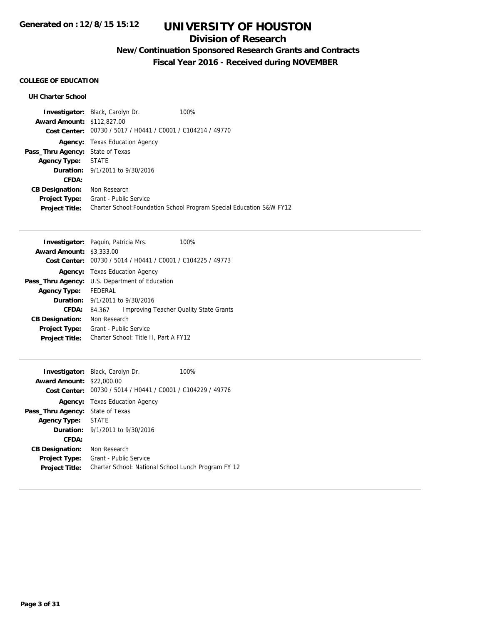# **Division of Research**

# **New/Continuation Sponsored Research Grants and Contracts**

**Fiscal Year 2016 - Received during NOVEMBER**

## **COLLEGE OF EDUCATION**

|                                         | <b>Investigator:</b> Black, Carolyn Dr.                     | 100%                                                                 |
|-----------------------------------------|-------------------------------------------------------------|----------------------------------------------------------------------|
| <b>Award Amount: \$112,827,00</b>       |                                                             |                                                                      |
|                                         | Cost Center: 00730 / 5017 / H0441 / C0001 / C104214 / 49770 |                                                                      |
|                                         | <b>Agency:</b> Texas Education Agency                       |                                                                      |
| <b>Pass_Thru Agency: State of Texas</b> |                                                             |                                                                      |
| <b>Agency Type:</b>                     | STATE                                                       |                                                                      |
|                                         | <b>Duration:</b> 9/1/2011 to 9/30/2016                      |                                                                      |
| CFDA:                                   |                                                             |                                                                      |
| <b>CB Designation:</b>                  | Non Research                                                |                                                                      |
| <b>Project Type:</b>                    | Grant - Public Service                                      |                                                                      |
| <b>Project Title:</b>                   |                                                             | Charter School: Foundation School Program Special Education S&W FY12 |

|                        | <b>Investigator:</b> Paquin, Patricia Mrs.     | 100%                                   |  |
|------------------------|------------------------------------------------|----------------------------------------|--|
| <b>Award Amount:</b>   | \$3,333.00                                     |                                        |  |
| Cost Center:           | 00730 / 5014 / H0441 / C0001 / C104225 / 49773 |                                        |  |
| Agency:                | Texas Education Agency                         |                                        |  |
| Pass_Thru Agency:      | U.S. Department of Education                   |                                        |  |
| <b>Agency Type:</b>    | FEDERAL                                        |                                        |  |
|                        | <b>Duration:</b> $9/1/2011$ to $9/30/2016$     |                                        |  |
| CFDA:                  | 84.367                                         | Improving Teacher Quality State Grants |  |
| <b>CB Designation:</b> | Non Research                                   |                                        |  |
| <b>Project Type:</b>   | Grant - Public Service                         |                                        |  |
| <b>Project Title:</b>  | Charter School: Title II, Part A FY12          |                                        |  |

| <b>Award Amount: \$22,000.00</b>        | <b>Investigator:</b> Black, Carolyn Dr.<br>Cost Center: 00730 / 5014 / H0441 / C0001 / C104229 / 49776 | 100% |
|-----------------------------------------|--------------------------------------------------------------------------------------------------------|------|
|                                         | <b>Agency:</b> Texas Education Agency                                                                  |      |
| <b>Pass_Thru Agency:</b> State of Texas |                                                                                                        |      |
| <b>Agency Type:</b>                     | <b>STATE</b>                                                                                           |      |
|                                         | <b>Duration:</b> $9/1/2011$ to $9/30/2016$                                                             |      |
| CFDA:                                   |                                                                                                        |      |
| <b>CB Designation:</b>                  | Non Research                                                                                           |      |
| Project Type:                           | Grant - Public Service                                                                                 |      |
| <b>Project Title:</b>                   | Charter School: National School Lunch Program FY 12                                                    |      |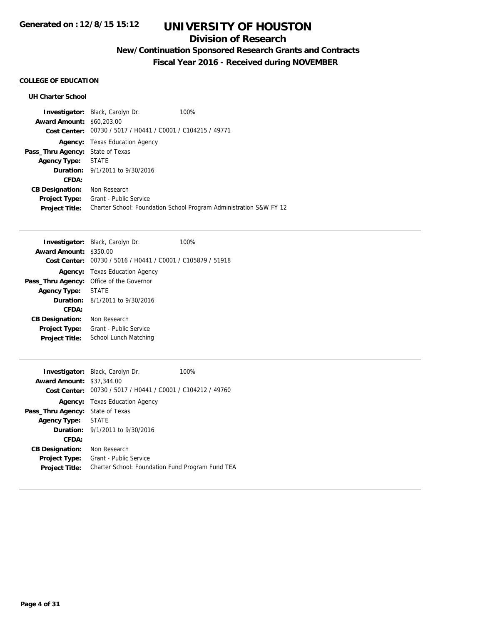## **Division of Research**

# **New/Continuation Sponsored Research Grants and Contracts**

**Fiscal Year 2016 - Received during NOVEMBER**

## **COLLEGE OF EDUCATION**

|                                         | <b>Investigator:</b> Black, Carolyn Dr.                     | 100%                                                               |
|-----------------------------------------|-------------------------------------------------------------|--------------------------------------------------------------------|
| <b>Award Amount: \$60,203,00</b>        |                                                             |                                                                    |
|                                         | Cost Center: 00730 / 5017 / H0441 / C0001 / C104215 / 49771 |                                                                    |
|                                         | <b>Agency:</b> Texas Education Agency                       |                                                                    |
| <b>Pass_Thru Agency: State of Texas</b> |                                                             |                                                                    |
| <b>Agency Type:</b>                     | STATE                                                       |                                                                    |
|                                         | <b>Duration:</b> 9/1/2011 to 9/30/2016                      |                                                                    |
| CFDA:                                   |                                                             |                                                                    |
| <b>CB Designation:</b>                  | Non Research                                                |                                                                    |
| <b>Project Type:</b>                    | Grant - Public Service                                      |                                                                    |
| <b>Project Title:</b>                   |                                                             | Charter School: Foundation School Program Administration S&W FY 12 |

|                                            | <b>Investigator:</b> Black, Carolyn Dr.        | 100% |
|--------------------------------------------|------------------------------------------------|------|
| <b>Award Amount:</b>                       | \$350.00                                       |      |
| Cost Center:                               | 00730 / 5016 / H0441 / C0001 / C105879 / 51918 |      |
| Agency:                                    | Texas Education Agency                         |      |
| Pass_Thru Agency:                          | Office of the Governor                         |      |
| <b>Agency Type:</b>                        | <b>STATE</b>                                   |      |
| <b>Duration:</b> $8/1/2011$ to $9/30/2016$ |                                                |      |
| CFDA:                                      |                                                |      |
| <b>CB Designation:</b>                     | Non Research                                   |      |
| <b>Project Type:</b>                       | Grant - Public Service                         |      |
| <b>Project Title:</b>                      | School Lunch Matching                          |      |

| <b>Award Amount: \$37,344.00</b><br>Cost Center: | <b>Investigator:</b> Black, Carolyn Dr.<br>00730 / 5017 / H0441 / C0001 / C104212 / 49760 | 100% |
|--------------------------------------------------|-------------------------------------------------------------------------------------------|------|
|                                                  | <b>Agency:</b> Texas Education Agency                                                     |      |
| <b>Pass_Thru Agency: State of Texas</b>          |                                                                                           |      |
| <b>Agency Type:</b>                              | STATE                                                                                     |      |
|                                                  | <b>Duration:</b> 9/1/2011 to 9/30/2016                                                    |      |
| CFDA:                                            |                                                                                           |      |
| <b>CB Designation:</b>                           | Non Research                                                                              |      |
| <b>Project Type:</b>                             | Grant - Public Service                                                                    |      |
| <b>Project Title:</b>                            | Charter School: Foundation Fund Program Fund TEA                                          |      |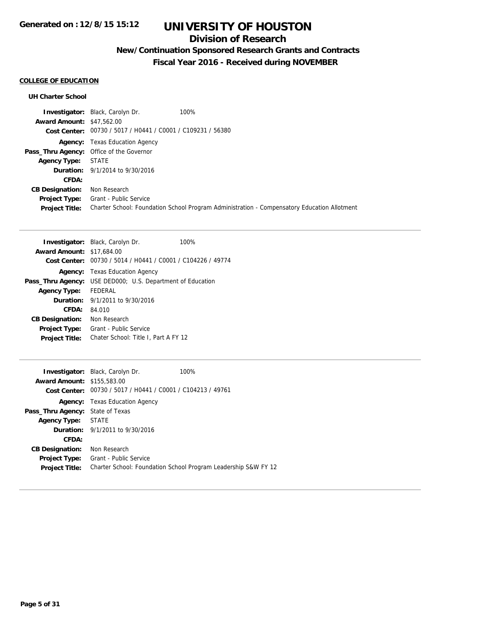## **Division of Research**

# **New/Continuation Sponsored Research Grants and Contracts**

**Fiscal Year 2016 - Received during NOVEMBER**

## **COLLEGE OF EDUCATION**

| <b>Investigator:</b> Black, Carolyn Dr.                     | 100%                                                                                        |
|-------------------------------------------------------------|---------------------------------------------------------------------------------------------|
| <b>Award Amount: \$47,562.00</b>                            |                                                                                             |
| Cost Center: 00730 / 5017 / H0441 / C0001 / C109231 / 56380 |                                                                                             |
| <b>Agency:</b> Texas Education Agency                       |                                                                                             |
| Pass_Thru Agency: Office of the Governor                    |                                                                                             |
| <b>STATE</b>                                                |                                                                                             |
| <b>Duration:</b> 9/1/2014 to 9/30/2016                      |                                                                                             |
|                                                             |                                                                                             |
| Non Research                                                |                                                                                             |
| Grant - Public Service                                      |                                                                                             |
|                                                             | Charter School: Foundation School Program Administration - Compensatory Education Allotment |
|                                                             |                                                                                             |

| <b>Investigator:</b> Black, Carolyn Dr.                           |                                        |                                      | 100%                                                        |
|-------------------------------------------------------------------|----------------------------------------|--------------------------------------|-------------------------------------------------------------|
| <b>Award Amount: \$17,684.00</b>                                  |                                        |                                      |                                                             |
|                                                                   |                                        |                                      | Cost Center: 00730 / 5014 / H0441 / C0001 / C104226 / 49774 |
|                                                                   | <b>Agency:</b> Texas Education Agency  |                                      |                                                             |
| <b>Pass_Thru Agency:</b> USE DED000; U.S. Department of Education |                                        |                                      |                                                             |
| <b>Agency Type:</b>                                               | <b>FEDERAL</b>                         |                                      |                                                             |
|                                                                   | <b>Duration:</b> 9/1/2011 to 9/30/2016 |                                      |                                                             |
| CFDA:                                                             | 84.010                                 |                                      |                                                             |
| <b>CB Designation:</b>                                            | Non Research                           |                                      |                                                             |
| <b>Project Type:</b>                                              | Grant - Public Service                 |                                      |                                                             |
| <b>Project Title:</b>                                             |                                        | Chater School: Title I, Part A FY 12 |                                                             |

|                                         | <b>Investigator:</b> Black, Carolyn Dr.        | 100%                                                           |
|-----------------------------------------|------------------------------------------------|----------------------------------------------------------------|
| <b>Award Amount: \$155,583.00</b>       |                                                |                                                                |
| Cost Center:                            | 00730 / 5017 / H0441 / C0001 / C104213 / 49761 |                                                                |
|                                         | <b>Agency:</b> Texas Education Agency          |                                                                |
| <b>Pass_Thru Agency:</b> State of Texas |                                                |                                                                |
| Agency Type: STATE                      |                                                |                                                                |
|                                         | <b>Duration:</b> 9/1/2011 to 9/30/2016         |                                                                |
| CFDA:                                   |                                                |                                                                |
| <b>CB Designation:</b>                  | Non Research                                   |                                                                |
| Project Type:                           | Grant - Public Service                         |                                                                |
| <b>Project Title:</b>                   |                                                | Charter School: Foundation School Program Leadership S&W FY 12 |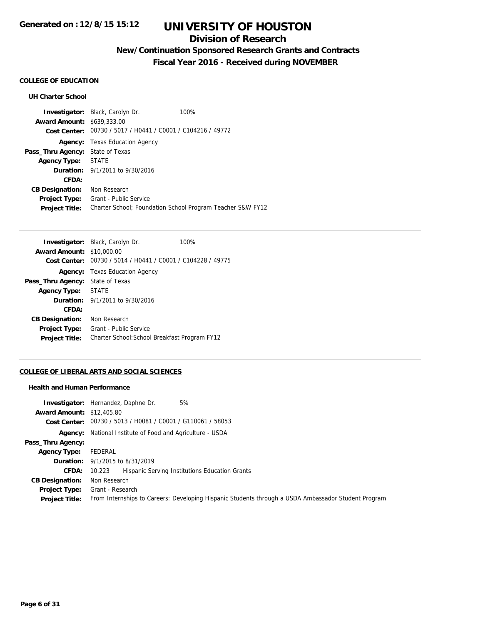# **Division of Research**

# **New/Continuation Sponsored Research Grants and Contracts**

**Fiscal Year 2016 - Received during NOVEMBER**

## **COLLEGE OF EDUCATION**

### **UH Charter School**

|                                   | <b>Investigator:</b> Black, Carolyn Dr.                     | 100%                                                       |
|-----------------------------------|-------------------------------------------------------------|------------------------------------------------------------|
| <b>Award Amount: \$639,333.00</b> |                                                             |                                                            |
|                                   | Cost Center: 00730 / 5017 / H0441 / C0001 / C104216 / 49772 |                                                            |
|                                   | <b>Agency:</b> Texas Education Agency                       |                                                            |
| Pass_Thru Agency:                 | State of Texas                                              |                                                            |
| Agency Type: STATE                |                                                             |                                                            |
|                                   | <b>Duration:</b> 9/1/2011 to 9/30/2016                      |                                                            |
| CFDA:                             |                                                             |                                                            |
| <b>CB Designation:</b>            | Non Research                                                |                                                            |
| <b>Project Type:</b>              | Grant - Public Service                                      |                                                            |
| <b>Project Title:</b>             |                                                             | Charter School; Foundation School Program Teacher S&W FY12 |

|                                  | <b>Investigator:</b> Black, Carolyn Dr.                     | 100% |
|----------------------------------|-------------------------------------------------------------|------|
| <b>Award Amount: \$10,000.00</b> |                                                             |      |
|                                  | Cost Center: 00730 / 5014 / H0441 / C0001 / C104228 / 49775 |      |
|                                  | <b>Agency:</b> Texas Education Agency                       |      |
| Pass_Thru Agency:                | State of Texas                                              |      |
| Agency Type: STATE               |                                                             |      |
|                                  | <b>Duration:</b> 9/1/2011 to 9/30/2016                      |      |
| CFDA:                            |                                                             |      |
| <b>CB Designation:</b>           | Non Research                                                |      |
| <b>Project Type:</b>             | Grant - Public Service                                      |      |
| <b>Project Title:</b>            | Charter School: School Breakfast Program FY12               |      |

### **COLLEGE OF LIBERAL ARTS AND SOCIAL SCIENCES**

### **Health and Human Performance**

| <b>Award Amount: \$12,405.80</b><br>Cost Center: | 5%<br><b>Investigator:</b> Hernandez, Daphne Dr.<br>00730 / 5013 / H0081 / C0001 / G110061 / 58053  |
|--------------------------------------------------|-----------------------------------------------------------------------------------------------------|
|                                                  | <b>Agency:</b> National Institute of Food and Agriculture - USDA                                    |
| Pass_Thru Agency:                                |                                                                                                     |
| <b>Agency Type:</b>                              | FEDERAL                                                                                             |
|                                                  | <b>Duration:</b> 9/1/2015 to 8/31/2019                                                              |
| <b>CFDA:</b>                                     | Hispanic Serving Institutions Education Grants<br>10.223                                            |
| <b>CB Designation:</b>                           | Non Research                                                                                        |
| Project Type:                                    | Grant - Research                                                                                    |
| <b>Project Title:</b>                            | From Internships to Careers: Developing Hispanic Students through a USDA Ambassador Student Program |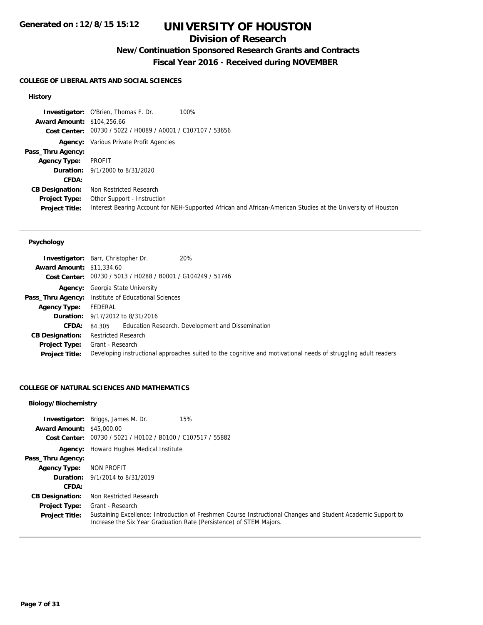## **Division of Research**

# **New/Continuation Sponsored Research Grants and Contracts**

**Fiscal Year 2016 - Received during NOVEMBER**

### **COLLEGE OF LIBERAL ARTS AND SOCIAL SCIENCES**

### **History**

|                                   | <b>Investigator:</b> O'Brien, Thomas F. Dr.                 | 100%                                                                                                         |
|-----------------------------------|-------------------------------------------------------------|--------------------------------------------------------------------------------------------------------------|
| <b>Award Amount: \$104,256.66</b> |                                                             |                                                                                                              |
|                                   | Cost Center: 00730 / 5022 / H0089 / A0001 / C107107 / 53656 |                                                                                                              |
|                                   | <b>Agency:</b> Various Private Profit Agencies              |                                                                                                              |
| Pass_Thru Agency:                 |                                                             |                                                                                                              |
| <b>Agency Type:</b>               | PROFIT                                                      |                                                                                                              |
|                                   | <b>Duration:</b> 9/1/2000 to 8/31/2020                      |                                                                                                              |
| CFDA:                             |                                                             |                                                                                                              |
| <b>CB Designation:</b>            | Non Restricted Research                                     |                                                                                                              |
| Project Type:                     | Other Support - Instruction                                 |                                                                                                              |
| <b>Project Title:</b>             |                                                             | Interest Bearing Account for NEH-Supported African and African-American Studies at the University of Houston |

### **Psychology**

| <b>Award Amount: \$11,334.60</b> | 20%<br><b>Investigator:</b> Barr, Christopher Dr.                                                              |
|----------------------------------|----------------------------------------------------------------------------------------------------------------|
|                                  | Cost Center: 00730 / 5013 / H0288 / B0001 / G104249 / 51746                                                    |
|                                  | <b>Agency:</b> Georgia State University                                                                        |
|                                  | <b>Pass_Thru Agency:</b> Institute of Educational Sciences                                                     |
| <b>Agency Type:</b>              | FEDERAL                                                                                                        |
|                                  | <b>Duration:</b> 9/17/2012 to 8/31/2016                                                                        |
| <b>CFDA:</b>                     | Education Research, Development and Dissemination<br>84.305                                                    |
| <b>CB Designation:</b>           | <b>Restricted Research</b>                                                                                     |
| Project Type:                    | Grant - Research                                                                                               |
| <b>Project Title:</b>            | Developing instructional approaches suited to the cognitive and motivational needs of struggling adult readers |

### **COLLEGE OF NATURAL SCIENCES AND MATHEMATICS**

### **Biology/Biochemistry**

| <b>Award Amount: \$45,000.00</b> | 15%<br><b>Investigator:</b> Briggs, James M. Dr.<br>Cost Center: 00730 / 5021 / H0102 / B0100 / C107517 / 55882                                                                     |
|----------------------------------|-------------------------------------------------------------------------------------------------------------------------------------------------------------------------------------|
|                                  |                                                                                                                                                                                     |
|                                  | <b>Agency:</b> Howard Hughes Medical Institute                                                                                                                                      |
| Pass_Thru Agency:                |                                                                                                                                                                                     |
| <b>Agency Type:</b>              | NON PROFIT                                                                                                                                                                          |
|                                  | <b>Duration:</b> 9/1/2014 to 8/31/2019                                                                                                                                              |
| <b>CFDA:</b>                     |                                                                                                                                                                                     |
| <b>CB Designation:</b>           | Non Restricted Research                                                                                                                                                             |
| <b>Project Type:</b>             | Grant - Research                                                                                                                                                                    |
| <b>Project Title:</b>            | Sustaining Excellence: Introduction of Freshmen Course Instructional Changes and Student Academic Support to<br>Increase the Six Year Graduation Rate (Persistence) of STEM Majors. |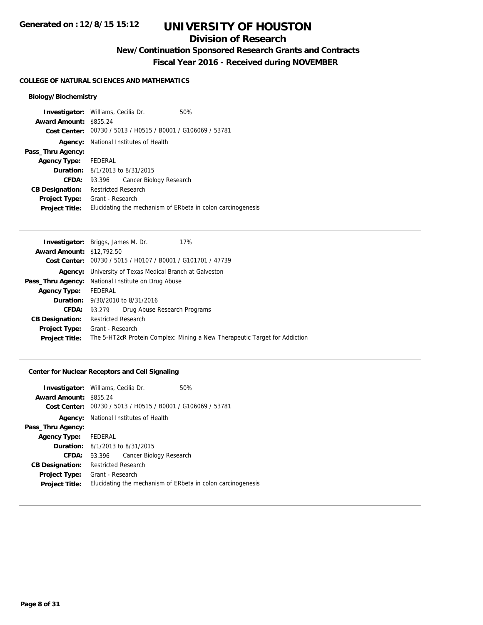## **Division of Research**

**New/Continuation Sponsored Research Grants and Contracts**

**Fiscal Year 2016 - Received during NOVEMBER**

#### **COLLEGE OF NATURAL SCIENCES AND MATHEMATICS**

### **Biology/Biochemistry**

|                        | <b>Investigator:</b> Williams, Cecilia Dr.                  | 50% |  |
|------------------------|-------------------------------------------------------------|-----|--|
| <b>Award Amount:</b>   | \$855.24                                                    |     |  |
|                        | Cost Center: 00730 / 5013 / H0515 / B0001 / G106069 / 53781 |     |  |
|                        | <b>Agency:</b> National Institutes of Health                |     |  |
| Pass_Thru Agency:      |                                                             |     |  |
| Agency Type: FEDERAL   |                                                             |     |  |
|                        | <b>Duration:</b> 8/1/2013 to 8/31/2015                      |     |  |
| <b>CFDA:</b>           | Cancer Biology Research<br>93.396                           |     |  |
| <b>CB Designation:</b> | <b>Restricted Research</b>                                  |     |  |
| <b>Project Type:</b>   | Grant - Research                                            |     |  |
| <b>Project Title:</b>  | Elucidating the mechanism of ERbeta in colon carcinogenesis |     |  |

|                                  | <b>Investigator:</b> Briggs, James M. Dr.<br>17%                           |  |  |
|----------------------------------|----------------------------------------------------------------------------|--|--|
| <b>Award Amount: \$12,792.50</b> |                                                                            |  |  |
|                                  | Cost Center: 00730 / 5015 / H0107 / B0001 / G101701 / 47739                |  |  |
|                                  | <b>Agency:</b> University of Texas Medical Branch at Galveston             |  |  |
|                                  | Pass_Thru Agency: National Institute on Drug Abuse                         |  |  |
| <b>Agency Type:</b>              | <b>FEDERAL</b>                                                             |  |  |
|                                  | <b>Duration:</b> 9/30/2010 to 8/31/2016                                    |  |  |
| <b>CFDA:</b>                     | Drug Abuse Research Programs<br>93.279                                     |  |  |
| <b>CB Designation:</b>           | <b>Restricted Research</b>                                                 |  |  |
| <b>Project Type:</b>             | Grant - Research                                                           |  |  |
| <b>Project Title:</b>            | The 5-HT2cR Protein Complex: Mining a New Therapeutic Target for Addiction |  |  |
|                                  |                                                                            |  |  |

### **Center for Nuclear Receptors and Cell Signaling**

|                        | 50%                                                                                                                                                                                                                                                                                     |
|------------------------|-----------------------------------------------------------------------------------------------------------------------------------------------------------------------------------------------------------------------------------------------------------------------------------------|
| Award Amount: \$855.24 |                                                                                                                                                                                                                                                                                         |
|                        |                                                                                                                                                                                                                                                                                         |
|                        |                                                                                                                                                                                                                                                                                         |
|                        |                                                                                                                                                                                                                                                                                         |
| Agency Type: FEDERAL   |                                                                                                                                                                                                                                                                                         |
|                        |                                                                                                                                                                                                                                                                                         |
|                        |                                                                                                                                                                                                                                                                                         |
|                        |                                                                                                                                                                                                                                                                                         |
|                        |                                                                                                                                                                                                                                                                                         |
|                        | Elucidating the mechanism of ERbeta in colon carcinogenesis                                                                                                                                                                                                                             |
|                        | <b>Investigator:</b> Williams, Cecilia Dr.<br>Cost Center: 00730 / 5013 / H0515 / B0001 / G106069 / 53781<br><b>Agency:</b> National Institutes of Health<br><b>Duration:</b> 8/1/2013 to 8/31/2015<br>93.396 Cancer Biology Research<br><b>Restricted Research</b><br>Grant - Research |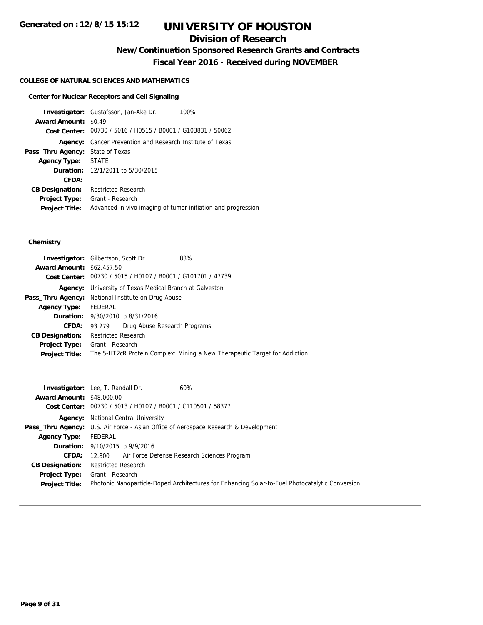# **Division of Research**

**New/Continuation Sponsored Research Grants and Contracts**

**Fiscal Year 2016 - Received during NOVEMBER**

### **COLLEGE OF NATURAL SCIENCES AND MATHEMATICS**

#### **Center for Nuclear Receptors and Cell Signaling**

**Investigator:** Gustafsson, Jan-Ake Dr. 100% **Award Amount:** \$0.49 **Cost Center:** 00730 / 5016 / H0515 / B0001 / G103831 / 50062 **Agency:** Cancer Prevention and Research Institute of Texas **Pass\_Thru Agency:** State of Texas **Agency Type:** STATE **Duration:** 12/1/2011 to 5/30/2015 **CFDA: CB Designation:** Restricted Research **Project Type:** Grant - Research **Project Title:** Advanced in vivo imaging of tumor initiation and progression

### **Chemistry**

| <b>Investigator:</b> Gilbertson, Scott Dr.                |                                                 |                                                             | 83%                                                                        |
|-----------------------------------------------------------|-------------------------------------------------|-------------------------------------------------------------|----------------------------------------------------------------------------|
| <b>Award Amount: \$62,457.50</b>                          |                                                 |                                                             |                                                                            |
|                                                           |                                                 | Cost Center: 00730 / 5015 / H0107 / B0001 / G101701 / 47739 |                                                                            |
| Agency:                                                   | University of Texas Medical Branch at Galveston |                                                             |                                                                            |
| <b>Pass_Thru Agency:</b> National Institute on Drug Abuse |                                                 |                                                             |                                                                            |
| <b>Agency Type:</b>                                       | FEDERAL                                         |                                                             |                                                                            |
|                                                           |                                                 | <b>Duration:</b> 9/30/2010 to 8/31/2016                     |                                                                            |
| <b>CFDA:</b>                                              | 93.279                                          | Drug Abuse Research Programs                                |                                                                            |
| <b>CB Designation:</b>                                    | Restricted Research                             |                                                             |                                                                            |
| <b>Project Type:</b>                                      | Grant - Research                                |                                                             |                                                                            |
| <b>Project Title:</b>                                     |                                                 |                                                             | The 5-HT2cR Protein Complex: Mining a New Therapeutic Target for Addiction |
|                                                           |                                                 |                                                             |                                                                            |

|                                  | $60\%$<br><b>Investigator:</b> Lee, T. Randall Dr.                                              |
|----------------------------------|-------------------------------------------------------------------------------------------------|
| <b>Award Amount: \$48,000.00</b> |                                                                                                 |
|                                  | Cost Center: 00730 / 5013 / H0107 / B0001 / C110501 / 58377                                     |
|                                  | <b>Agency:</b> National Central University                                                      |
|                                  | <b>Pass_Thru Agency:</b> U.S. Air Force - Asian Office of Aerospace Research & Development      |
| <b>Agency Type:</b>              | FEDERAL                                                                                         |
|                                  | <b>Duration:</b> 9/10/2015 to 9/9/2016                                                          |
| <b>CFDA:</b>                     | 12.800 Air Force Defense Research Sciences Program                                              |
| <b>CB Designation:</b>           | <b>Restricted Research</b>                                                                      |
| <b>Project Type:</b>             | Grant - Research                                                                                |
| <b>Project Title:</b>            | Photonic Nanoparticle-Doped Architectures for Enhancing Solar-to-Fuel Photocatalytic Conversion |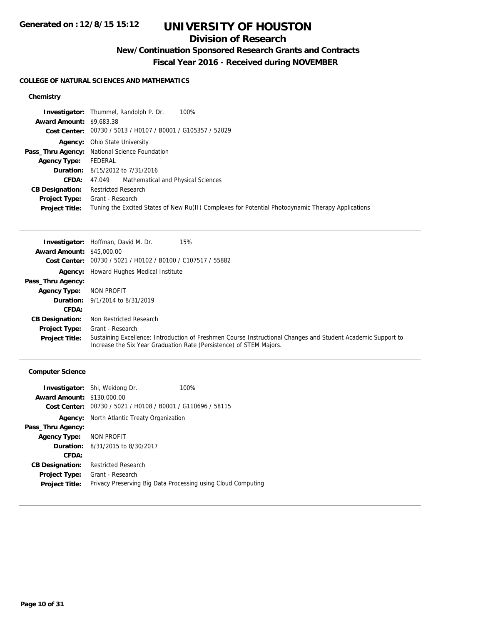## **Division of Research**

# **New/Continuation Sponsored Research Grants and Contracts**

**Fiscal Year 2016 - Received during NOVEMBER**

#### **COLLEGE OF NATURAL SCIENCES AND MATHEMATICS**

### **Chemistry**

|                                 | 100%<br><b>Investigator:</b> Thummel, Randolph P. Dr.                                             |
|---------------------------------|---------------------------------------------------------------------------------------------------|
| <b>Award Amount: \$9,683.38</b> |                                                                                                   |
|                                 | Cost Center: 00730 / 5013 / H0107 / B0001 / G105357 / 52029                                       |
|                                 | <b>Agency:</b> Ohio State University                                                              |
|                                 | Pass_Thru Agency: National Science Foundation                                                     |
| <b>Agency Type:</b>             | FEDERAL                                                                                           |
|                                 | <b>Duration:</b> 8/15/2012 to 7/31/2016                                                           |
| <b>CFDA:</b>                    | 47.049 Mathematical and Physical Sciences                                                         |
| <b>CB Designation:</b>          | <b>Restricted Research</b>                                                                        |
| <b>Project Type:</b>            | Grant - Research                                                                                  |
| <b>Project Title:</b>           | Tuning the Excited States of New Ru(II) Complexes for Potential Photodynamic Therapy Applications |

|                                  | <b>Investigator:</b> Hoffman, David M. Dr.<br>15%                                                                                                                                   |
|----------------------------------|-------------------------------------------------------------------------------------------------------------------------------------------------------------------------------------|
| <b>Award Amount: \$45,000.00</b> |                                                                                                                                                                                     |
|                                  | Cost Center: 00730 / 5021 / H0102 / B0100 / C107517 / 55882                                                                                                                         |
|                                  | <b>Agency:</b> Howard Hughes Medical Institute                                                                                                                                      |
| Pass_Thru Agency:                |                                                                                                                                                                                     |
| <b>Agency Type:</b>              | NON PROFIT                                                                                                                                                                          |
|                                  | <b>Duration:</b> 9/1/2014 to 8/31/2019                                                                                                                                              |
| CFDA:                            |                                                                                                                                                                                     |
| <b>CB Designation:</b>           | Non Restricted Research                                                                                                                                                             |
| Project Type:                    | Grant - Research                                                                                                                                                                    |
| <b>Project Title:</b>            | Sustaining Excellence: Introduction of Freshmen Course Instructional Changes and Student Academic Support to<br>Increase the Six Year Graduation Rate (Persistence) of STEM Majors. |

### **Computer Science**

|                                   | <b>Investigator:</b> Shi, Weidong Dr.                        | 100% |
|-----------------------------------|--------------------------------------------------------------|------|
| <b>Award Amount: \$130,000.00</b> |                                                              |      |
| Cost Center:                      | 00730 / 5021 / H0108 / B0001 / G110696 / 58115               |      |
|                                   | <b>Agency:</b> North Atlantic Treaty Organization            |      |
| Pass_Thru Agency:                 |                                                              |      |
| Agency Type: NON PROFIT           |                                                              |      |
|                                   | <b>Duration:</b> $8/31/2015$ to $8/30/2017$                  |      |
| CFDA:                             |                                                              |      |
| <b>CB Designation:</b>            | <b>Restricted Research</b>                                   |      |
| Project Type:                     | Grant - Research                                             |      |
| <b>Project Title:</b>             | Privacy Preserving Big Data Processing using Cloud Computing |      |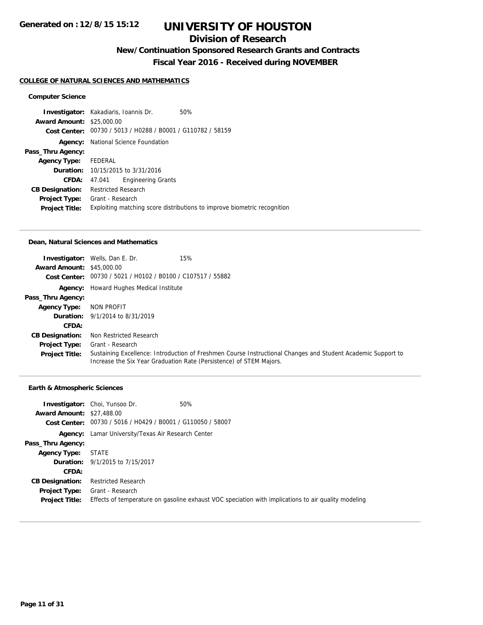## **Division of Research**

# **New/Continuation Sponsored Research Grants and Contracts**

**Fiscal Year 2016 - Received during NOVEMBER**

#### **COLLEGE OF NATURAL SCIENCES AND MATHEMATICS**

### **Computer Science**

|                                  | <b>Investigator:</b> Kakadiaris, Ioannis Dr.                | 50%                                                                      |
|----------------------------------|-------------------------------------------------------------|--------------------------------------------------------------------------|
| <b>Award Amount: \$25,000.00</b> |                                                             |                                                                          |
|                                  | Cost Center: 00730 / 5013 / H0288 / B0001 / G110782 / 58159 |                                                                          |
| Agency:                          | National Science Foundation                                 |                                                                          |
| Pass_Thru Agency:                |                                                             |                                                                          |
| <b>Agency Type:</b>              | FEDERAL                                                     |                                                                          |
|                                  | <b>Duration:</b> 10/15/2015 to 3/31/2016                    |                                                                          |
| CFDA:                            | <b>Engineering Grants</b><br>47.041                         |                                                                          |
| <b>CB Designation:</b>           | <b>Restricted Research</b>                                  |                                                                          |
| <b>Project Type:</b>             | Grant - Research                                            |                                                                          |
| <b>Project Title:</b>            |                                                             | Exploiting matching score distributions to improve biometric recognition |

#### **Dean, Natural Sciences and Mathematics**

| <b>Award Amount: \$45,000.00</b> | 15%<br><b>Investigator:</b> Wells, Dan E. Dr.                                                                                                                                       |
|----------------------------------|-------------------------------------------------------------------------------------------------------------------------------------------------------------------------------------|
|                                  | Cost Center: 00730 / 5021 / H0102 / B0100 / C107517 / 55882                                                                                                                         |
|                                  | Agency: Howard Hughes Medical Institute                                                                                                                                             |
| Pass_Thru Agency:                |                                                                                                                                                                                     |
| <b>Agency Type:</b>              | NON PROFIT                                                                                                                                                                          |
|                                  | <b>Duration:</b> 9/1/2014 to 8/31/2019                                                                                                                                              |
| <b>CFDA:</b>                     |                                                                                                                                                                                     |
| <b>CB Designation:</b>           | Non Restricted Research                                                                                                                                                             |
| <b>Project Type:</b>             | Grant - Research                                                                                                                                                                    |
| <b>Project Title:</b>            | Sustaining Excellence: Introduction of Freshmen Course Instructional Changes and Student Academic Support to<br>Increase the Six Year Graduation Rate (Persistence) of STEM Majors. |

#### **Earth & Atmospheric Sciences**

| <b>Award Amount: \$27,488.00</b>              | 50%<br><b>Investigator:</b> Choi, Yunsoo Dr.<br>Cost Center: 00730 / 5016 / H0429 / B0001 / G110050 / 58007             |  |  |
|-----------------------------------------------|-------------------------------------------------------------------------------------------------------------------------|--|--|
|                                               | Agency: Lamar University/Texas Air Research Center                                                                      |  |  |
| Pass_Thru Agency:                             |                                                                                                                         |  |  |
| <b>Agency Type:</b>                           | STATE                                                                                                                   |  |  |
|                                               | <b>Duration:</b> 9/1/2015 to 7/15/2017                                                                                  |  |  |
| CFDA:                                         |                                                                                                                         |  |  |
| <b>CB Designation:</b>                        | <b>Restricted Research</b>                                                                                              |  |  |
| <b>Project Type:</b><br><b>Project Title:</b> | Grant - Research<br>Effects of temperature on gasoline exhaust VOC speciation with implications to air quality modeling |  |  |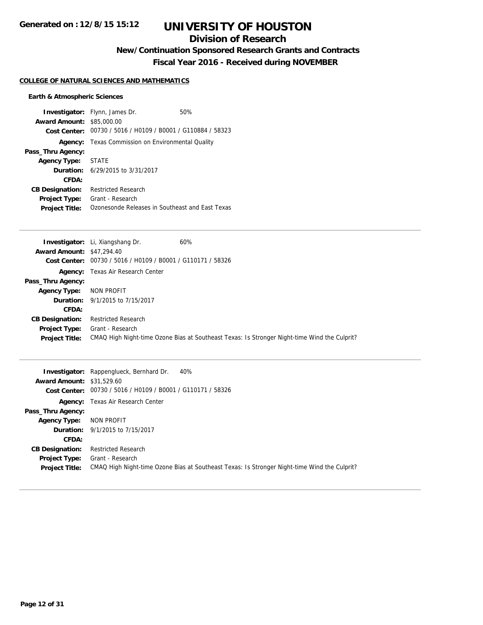## **Division of Research**

**New/Continuation Sponsored Research Grants and Contracts**

**Fiscal Year 2016 - Received during NOVEMBER**

#### **COLLEGE OF NATURAL SCIENCES AND MATHEMATICS**

### **Earth & Atmospheric Sciences**

|                                  | <b>Investigator:</b> Flynn, James Dr.                       | 50% |
|----------------------------------|-------------------------------------------------------------|-----|
| <b>Award Amount: \$85,000.00</b> |                                                             |     |
|                                  | Cost Center: 00730 / 5016 / H0109 / B0001 / G110884 / 58323 |     |
| Agency:                          | Texas Commission on Environmental Quality                   |     |
| Pass_Thru Agency:                |                                                             |     |
| Agency Type: STATE               |                                                             |     |
|                                  | <b>Duration:</b> $6/29/2015$ to $3/31/2017$                 |     |
| CFDA:                            |                                                             |     |
| <b>CB Designation:</b>           | Restricted Research                                         |     |
| <b>Project Type:</b>             | Grant - Research                                            |     |
| <b>Project Title:</b>            | Ozonesonde Releases in Southeast and East Texas             |     |

|                                  | Investigator: Li, Xiangshang Dr.               | 60%                                                                                          |
|----------------------------------|------------------------------------------------|----------------------------------------------------------------------------------------------|
| <b>Award Amount: \$47,294.40</b> |                                                |                                                                                              |
| Cost Center:                     | 00730 / 5016 / H0109 / B0001 / G110171 / 58326 |                                                                                              |
|                                  | <b>Agency:</b> Texas Air Research Center       |                                                                                              |
| Pass_Thru Agency:                |                                                |                                                                                              |
| <b>Agency Type:</b>              | NON PROFIT                                     |                                                                                              |
|                                  | <b>Duration:</b> 9/1/2015 to 7/15/2017         |                                                                                              |
| CFDA:                            |                                                |                                                                                              |
| <b>CB Designation:</b>           | <b>Restricted Research</b>                     |                                                                                              |
| <b>Project Type:</b>             | Grant - Research                               |                                                                                              |
| <b>Project Title:</b>            |                                                | CMAQ High Night-time Ozone Bias at Southeast Texas: Is Stronger Night-time Wind the Culprit? |

|                                  | <b>Investigator:</b> Rappenglueck, Bernhard Dr.<br>40%                                       |
|----------------------------------|----------------------------------------------------------------------------------------------|
| <b>Award Amount: \$31,529.60</b> |                                                                                              |
|                                  | Cost Center: 00730 / 5016 / H0109 / B0001 / G110171 / 58326                                  |
|                                  | <b>Agency:</b> Texas Air Research Center                                                     |
| Pass_Thru Agency:                |                                                                                              |
| <b>Agency Type:</b>              | NON PROFIT                                                                                   |
|                                  | <b>Duration:</b> 9/1/2015 to 7/15/2017                                                       |
| CFDA:                            |                                                                                              |
| <b>CB Designation:</b>           | <b>Restricted Research</b>                                                                   |
| <b>Project Type:</b>             | Grant - Research                                                                             |
| <b>Project Title:</b>            | CMAQ High Night-time Ozone Bias at Southeast Texas: Is Stronger Night-time Wind the Culprit? |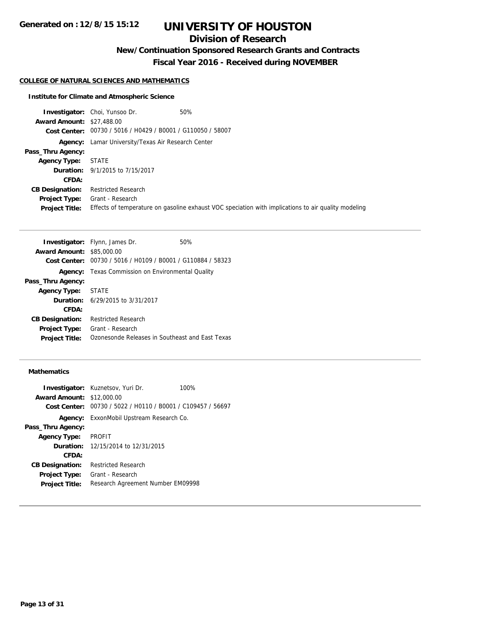# **Division of Research**

**New/Continuation Sponsored Research Grants and Contracts**

**Fiscal Year 2016 - Received during NOVEMBER**

### **COLLEGE OF NATURAL SCIENCES AND MATHEMATICS**

### **Institute for Climate and Atmospheric Science**

|                                  | 50%<br><b>Investigator:</b> Choi, Yunsoo Dr.                                                        |
|----------------------------------|-----------------------------------------------------------------------------------------------------|
| <b>Award Amount: \$27,488.00</b> |                                                                                                     |
|                                  | Cost Center: 00730 / 5016 / H0429 / B0001 / G110050 / 58007                                         |
| Agency:                          | Lamar University/Texas Air Research Center                                                          |
| Pass_Thru Agency:                |                                                                                                     |
| <b>Agency Type:</b>              | STATE                                                                                               |
|                                  | <b>Duration:</b> 9/1/2015 to 7/15/2017                                                              |
| CFDA:                            |                                                                                                     |
| <b>CB Designation:</b>           | <b>Restricted Research</b>                                                                          |
| <b>Project Type:</b>             | Grant - Research                                                                                    |
| <b>Project Title:</b>            | Effects of temperature on gasoline exhaust VOC speciation with implications to air quality modeling |

|                                  | <b>Investigator:</b> Flynn, James Dr.           | 50% |
|----------------------------------|-------------------------------------------------|-----|
| <b>Award Amount: \$85,000.00</b> |                                                 |     |
| Cost Center:                     | 00730 / 5016 / H0109 / B0001 / G110884 / 58323  |     |
| Agency:                          | Texas Commission on Environmental Quality       |     |
| Pass_Thru Agency:                |                                                 |     |
| Agency Type: STATE               |                                                 |     |
|                                  | <b>Duration:</b> 6/29/2015 to 3/31/2017         |     |
| CFDA:                            |                                                 |     |
| <b>CB Designation:</b>           | <b>Restricted Research</b>                      |     |
| <b>Project Type:</b>             | Grant - Research                                |     |
| <b>Project Title:</b>            | Ozonesonde Releases in Southeast and East Texas |     |

### **Mathematics**

| <b>Award Amount: \$12,000.00</b> | <b>Investigator:</b> Kuznetsov, Yuri Dr.                    | 100% |
|----------------------------------|-------------------------------------------------------------|------|
|                                  | Cost Center: 00730 / 5022 / H0110 / B0001 / C109457 / 56697 |      |
| Agency:                          | ExxonMobil Upstream Research Co.                            |      |
| Pass_Thru Agency:                |                                                             |      |
| Agency Type: PROFIT              |                                                             |      |
|                                  | <b>Duration:</b> 12/15/2014 to 12/31/2015                   |      |
| CFDA:                            |                                                             |      |
| <b>CB Designation:</b>           | <b>Restricted Research</b>                                  |      |
| <b>Project Type:</b>             | Grant - Research                                            |      |
| <b>Project Title:</b>            | Research Agreement Number EM09998                           |      |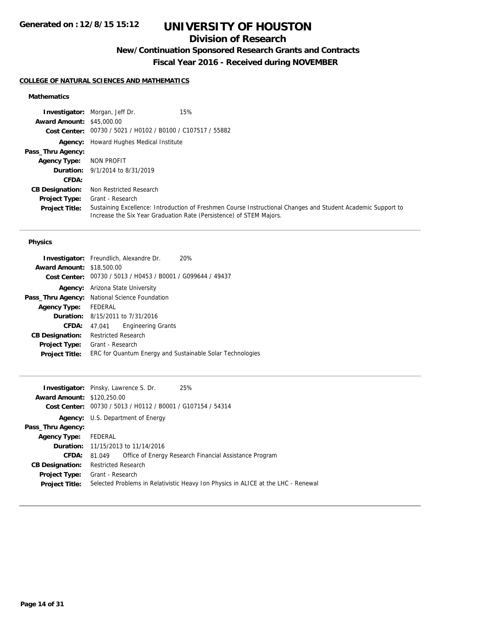## **Division of Research**

# **New/Continuation Sponsored Research Grants and Contracts**

**Fiscal Year 2016 - Received during NOVEMBER**

### **COLLEGE OF NATURAL SCIENCES AND MATHEMATICS**

### **Mathematics**

|                                  | 15%<br><b>Investigator:</b> Morgan, Jeff Dr.                                                                                                                                        |
|----------------------------------|-------------------------------------------------------------------------------------------------------------------------------------------------------------------------------------|
| <b>Award Amount: \$45,000.00</b> |                                                                                                                                                                                     |
|                                  | Cost Center: 00730 / 5021 / H0102 / B0100 / C107517 / 55882                                                                                                                         |
|                                  | <b>Agency:</b> Howard Hughes Medical Institute                                                                                                                                      |
| Pass_Thru Agency:                |                                                                                                                                                                                     |
| <b>Agency Type:</b>              | NON PROFIT                                                                                                                                                                          |
|                                  | <b>Duration:</b> 9/1/2014 to 8/31/2019                                                                                                                                              |
| <b>CFDA:</b>                     |                                                                                                                                                                                     |
| <b>CB Designation:</b>           | Non Restricted Research                                                                                                                                                             |
| <b>Project Type:</b>             | Grant - Research                                                                                                                                                                    |
| <b>Project Title:</b>            | Sustaining Excellence: Introduction of Freshmen Course Instructional Changes and Student Academic Support to<br>Increase the Six Year Graduation Rate (Persistence) of STEM Majors. |

### **Physics**

| <b>Investigator:</b> Freundlich, Alexandre Dr.              | 20% |
|-------------------------------------------------------------|-----|
| <b>Award Amount: \$18,500.00</b>                            |     |
| Cost Center: 00730 / 5013 / H0453 / B0001 / G099644 / 49437 |     |
| Arizona State University                                    |     |
| Pass_Thru Agency: National Science Foundation               |     |
| FEDERAL                                                     |     |
| <b>Duration:</b> 8/15/2011 to 7/31/2016                     |     |
| <b>Engineering Grants</b><br>47.041                         |     |
| <b>Restricted Research</b>                                  |     |
| Grant - Research                                            |     |
| ERC for Quantum Energy and Sustainable Solar Technologies   |     |
|                                                             |     |

|                                   | <b>Investigator:</b> Pinsky, Lawrence S. Dr.                | 25%                                                                               |  |
|-----------------------------------|-------------------------------------------------------------|-----------------------------------------------------------------------------------|--|
| <b>Award Amount: \$120,250.00</b> |                                                             |                                                                                   |  |
|                                   | Cost Center: 00730 / 5013 / H0112 / B0001 / G107154 / 54314 |                                                                                   |  |
|                                   | <b>Agency:</b> U.S. Department of Energy                    |                                                                                   |  |
| Pass_Thru Agency:                 |                                                             |                                                                                   |  |
| <b>Agency Type:</b>               | FEDERAL                                                     |                                                                                   |  |
|                                   | <b>Duration:</b> 11/15/2013 to 11/14/2016                   |                                                                                   |  |
| <b>CFDA:</b>                      | 81.049                                                      | Office of Energy Research Financial Assistance Program                            |  |
| <b>CB Designation:</b>            | <b>Restricted Research</b>                                  |                                                                                   |  |
| <b>Project Type:</b>              | Grant - Research                                            |                                                                                   |  |
| <b>Project Title:</b>             |                                                             | Selected Problems in Relativistic Heavy Ion Physics in ALICE at the LHC - Renewal |  |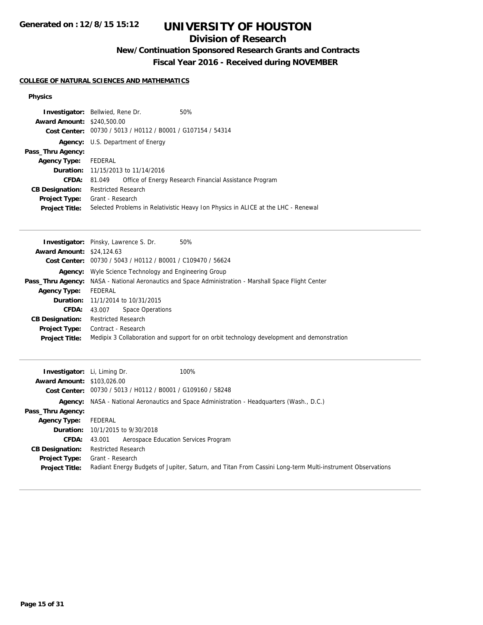## **Division of Research**

# **New/Continuation Sponsored Research Grants and Contracts**

**Fiscal Year 2016 - Received during NOVEMBER**

### **COLLEGE OF NATURAL SCIENCES AND MATHEMATICS**

### **Physics**

| <b>Investigator:</b> Bellwied, Rene Dr. |                                                                                   |                                                             | 50%                                                    |
|-----------------------------------------|-----------------------------------------------------------------------------------|-------------------------------------------------------------|--------------------------------------------------------|
| <b>Award Amount: \$240,500.00</b>       |                                                                                   |                                                             |                                                        |
|                                         |                                                                                   | Cost Center: 00730 / 5013 / H0112 / B0001 / G107154 / 54314 |                                                        |
|                                         | <b>Agency:</b> U.S. Department of Energy                                          |                                                             |                                                        |
| Pass_Thru Agency:                       |                                                                                   |                                                             |                                                        |
| Agency Type: FEDERAL                    |                                                                                   |                                                             |                                                        |
|                                         | <b>Duration:</b> 11/15/2013 to 11/14/2016                                         |                                                             |                                                        |
| CFDA:                                   | 81.049                                                                            |                                                             | Office of Energy Research Financial Assistance Program |
| <b>CB Designation:</b>                  | <b>Restricted Research</b>                                                        |                                                             |                                                        |
| <b>Project Type:</b>                    | Grant - Research                                                                  |                                                             |                                                        |
| <b>Project Title:</b>                   | Selected Problems in Relativistic Heavy Ion Physics in ALICE at the LHC - Renewal |                                                             |                                                        |

| 50%<br><b>Investigator:</b> Pinsky, Lawrence S. Dr.                                                          |
|--------------------------------------------------------------------------------------------------------------|
| <b>Award Amount: \$24,124.63</b>                                                                             |
| Cost Center: 00730 / 5043 / H0112 / B0001 / C109470 / 56624                                                  |
| <b>Agency:</b> Wyle Science Technology and Engineering Group                                                 |
| <b>Pass_Thru Agency:</b> NASA - National Aeronautics and Space Administration - Marshall Space Flight Center |
| FEDERAL                                                                                                      |
| <b>Duration:</b> 11/1/2014 to 10/31/2015                                                                     |
| Space Operations<br>43.007                                                                                   |
| <b>Restricted Research</b>                                                                                   |
| Contract - Research                                                                                          |
| Medipix 3 Collaboration and support for on orbit technology development and demonstration                    |
|                                                                                                              |

| <b>Investigator:</b> Li, Liming Dr. | 100%                                                                                                      |
|-------------------------------------|-----------------------------------------------------------------------------------------------------------|
| <b>Award Amount: \$103,026,00</b>   |                                                                                                           |
|                                     | Cost Center: 00730 / 5013 / H0112 / B0001 / G109160 / 58248                                               |
|                                     | <b>Agency:</b> NASA - National Aeronautics and Space Administration - Headquarters (Wash., D.C.)          |
| Pass_Thru Agency:                   |                                                                                                           |
| <b>Agency Type:</b>                 | FEDERAL                                                                                                   |
|                                     | <b>Duration:</b> 10/1/2015 to 9/30/2018                                                                   |
| <b>CFDA:</b>                        | Aerospace Education Services Program<br>43.001                                                            |
| <b>CB Designation:</b>              | <b>Restricted Research</b>                                                                                |
| <b>Project Type:</b>                | Grant - Research                                                                                          |
| <b>Project Title:</b>               | Radiant Energy Budgets of Jupiter, Saturn, and Titan From Cassini Long-term Multi-instrument Observations |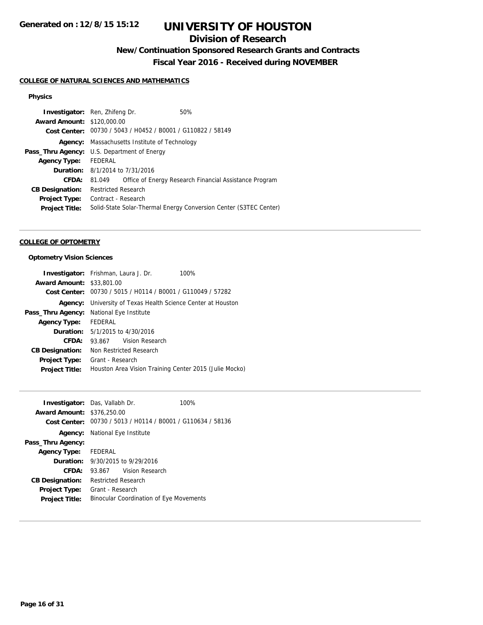## **Division of Research**

# **New/Continuation Sponsored Research Grants and Contracts**

**Fiscal Year 2016 - Received during NOVEMBER**

### **COLLEGE OF NATURAL SCIENCES AND MATHEMATICS**

### **Physics**

| <b>Investigator:</b> Ren, Zhifeng Dr. |                                                             |  | 50%                                                               |
|---------------------------------------|-------------------------------------------------------------|--|-------------------------------------------------------------------|
| <b>Award Amount: \$120,000.00</b>     |                                                             |  |                                                                   |
|                                       | Cost Center: 00730 / 5043 / H0452 / B0001 / G110822 / 58149 |  |                                                                   |
| Agency:                               | Massachusetts Institute of Technology                       |  |                                                                   |
|                                       | <b>Pass_Thru Agency:</b> U.S. Department of Energy          |  |                                                                   |
| Agency Type: FEDERAL                  |                                                             |  |                                                                   |
|                                       | <b>Duration:</b> 8/1/2014 to 7/31/2016                      |  |                                                                   |
| CFDA:                                 | 81.049                                                      |  | Office of Energy Research Financial Assistance Program            |
| <b>CB Designation:</b>                | <b>Restricted Research</b>                                  |  |                                                                   |
| <b>Project Type:</b>                  | Contract - Research                                         |  |                                                                   |
| <b>Project Title:</b>                 |                                                             |  | Solid-State Solar-Thermal Energy Conversion Center (S3TEC Center) |
|                                       |                                                             |  |                                                                   |

#### **COLLEGE OF OPTOMETRY**

### **Optometry Vision Sciences**

|                                  | <b>Investigator:</b> Frishman, Laura J. Dr.<br>100%                 |  |  |
|----------------------------------|---------------------------------------------------------------------|--|--|
| <b>Award Amount: \$33,801.00</b> |                                                                     |  |  |
|                                  | Cost Center: 00730 / 5015 / H0114 / B0001 / G110049 / 57282         |  |  |
|                                  | <b>Agency:</b> University of Texas Health Science Center at Houston |  |  |
| Pass_Thru Agency:                | National Eye Institute                                              |  |  |
| Agency Type: FEDERAL             |                                                                     |  |  |
|                                  | <b>Duration:</b> 5/1/2015 to 4/30/2016                              |  |  |
| CFDA:                            | 93.867 Vision Research                                              |  |  |
| <b>CB Designation:</b>           | Non Restricted Research                                             |  |  |
| <b>Project Type:</b>             | Grant - Research                                                    |  |  |
| <b>Project Title:</b>            | Houston Area Vision Training Center 2015 (Julie Mocko)              |  |  |

|                                   | <b>Investigator:</b> Das, Vallabh Dr.                       | 100% |
|-----------------------------------|-------------------------------------------------------------|------|
| <b>Award Amount: \$376,250.00</b> |                                                             |      |
|                                   | Cost Center: 00730 / 5013 / H0114 / B0001 / G110634 / 58136 |      |
|                                   | <b>Agency:</b> National Eye Institute                       |      |
| Pass_Thru Agency:                 |                                                             |      |
| Agency Type: FEDERAL              |                                                             |      |
|                                   | <b>Duration:</b> 9/30/2015 to 9/29/2016                     |      |
| CFDA:                             | 93.867 Vision Research                                      |      |
| <b>CB Designation:</b>            | Restricted Research                                         |      |
| <b>Project Type:</b>              | Grant - Research                                            |      |
| <b>Project Title:</b>             | <b>Binocular Coordination of Eye Movements</b>              |      |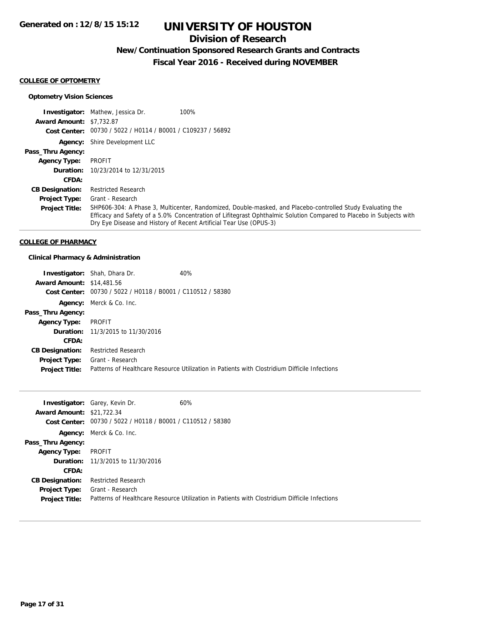## **Division of Research**

## **New/Continuation Sponsored Research Grants and Contracts**

**Fiscal Year 2016 - Received during NOVEMBER**

#### **COLLEGE OF OPTOMETRY**

### **Optometry Vision Sciences**

|                                 | <b>Investigator:</b> Mathew, Jessica Dr.<br>100%                                                                                                                                                                                                                                                        |
|---------------------------------|---------------------------------------------------------------------------------------------------------------------------------------------------------------------------------------------------------------------------------------------------------------------------------------------------------|
| <b>Award Amount: \$7.732.87</b> |                                                                                                                                                                                                                                                                                                         |
|                                 | Cost Center: 00730 / 5022 / H0114 / B0001 / C109237 / 56892                                                                                                                                                                                                                                             |
|                                 | <b>Agency:</b> Shire Development LLC                                                                                                                                                                                                                                                                    |
| Pass_Thru Agency:               |                                                                                                                                                                                                                                                                                                         |
| <b>Agency Type:</b>             | PROFIT                                                                                                                                                                                                                                                                                                  |
| Duration:                       | 10/23/2014 to 12/31/2015                                                                                                                                                                                                                                                                                |
| CFDA:                           |                                                                                                                                                                                                                                                                                                         |
| <b>CB Designation:</b>          | <b>Restricted Research</b>                                                                                                                                                                                                                                                                              |
| <b>Project Type:</b>            | Grant - Research                                                                                                                                                                                                                                                                                        |
| <b>Project Title:</b>           | SHP606-304: A Phase 3, Multicenter, Randomized, Double-masked, and Placebo-controlled Study Evaluating the<br>Efficacy and Safety of a 5.0% Concentration of Lifitegrast Ophthalmic Solution Compared to Placebo in Subjects with<br>Dry Eye Disease and History of Recent Artificial Tear Use (OPUS-3) |

#### **COLLEGE OF PHARMACY**

### **Clinical Pharmacy & Administration**

|                                  | <b>Investigator:</b> Shah, Dhara Dr.                        | 40%                                                                                           |
|----------------------------------|-------------------------------------------------------------|-----------------------------------------------------------------------------------------------|
| <b>Award Amount: \$14,481.56</b> |                                                             |                                                                                               |
|                                  | Cost Center: 00730 / 5022 / H0118 / B0001 / C110512 / 58380 |                                                                                               |
|                                  | <b>Agency:</b> Merck & Co. Inc.                             |                                                                                               |
| Pass_Thru Agency:                |                                                             |                                                                                               |
| <b>Agency Type:</b>              | PROFIT                                                      |                                                                                               |
|                                  | <b>Duration:</b> 11/3/2015 to 11/30/2016                    |                                                                                               |
| CFDA:                            |                                                             |                                                                                               |
| <b>CB Designation:</b>           | <b>Restricted Research</b>                                  |                                                                                               |
| <b>Project Type:</b>             | Grant - Research                                            |                                                                                               |
| <b>Project Title:</b>            |                                                             | Patterns of Healthcare Resource Utilization in Patients with Clostridium Difficile Infections |

|                                  | 60%<br><b>Investigator:</b> Garey, Kevin Dr.                                                  |
|----------------------------------|-----------------------------------------------------------------------------------------------|
| <b>Award Amount: \$21,722.34</b> |                                                                                               |
|                                  | Cost Center: 00730 / 5022 / H0118 / B0001 / C110512 / 58380                                   |
|                                  | Agency: Merck & Co. Inc.                                                                      |
| Pass_Thru Agency:                |                                                                                               |
| <b>Agency Type:</b>              | PROFIT                                                                                        |
|                                  | <b>Duration:</b> 11/3/2015 to 11/30/2016                                                      |
| CFDA:                            |                                                                                               |
| <b>CB Designation:</b>           | <b>Restricted Research</b>                                                                    |
| <b>Project Type:</b>             | Grant - Research                                                                              |
| <b>Project Title:</b>            | Patterns of Healthcare Resource Utilization in Patients with Clostridium Difficile Infections |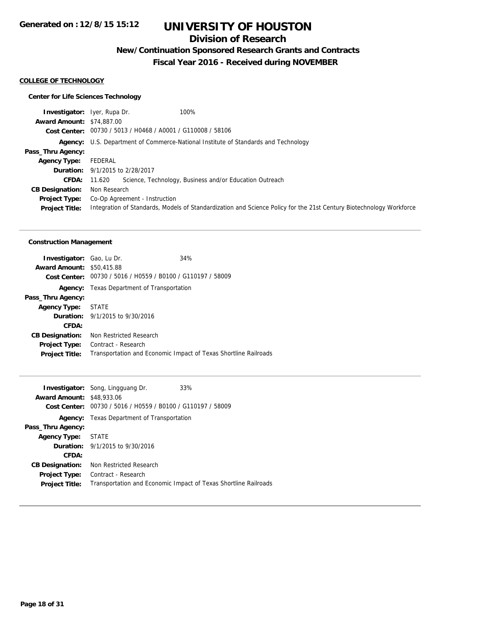## **Division of Research**

**New/Continuation Sponsored Research Grants and Contracts**

**Fiscal Year 2016 - Received during NOVEMBER**

#### **COLLEGE OF TECHNOLOGY**

### **Center for Life Sciences Technology**

| <b>Investigator:</b> Iyer, Rupa Dr. | 100%                                                                                                                |
|-------------------------------------|---------------------------------------------------------------------------------------------------------------------|
| <b>Award Amount: \$74,887,00</b>    |                                                                                                                     |
|                                     | Cost Center: 00730 / 5013 / H0468 / A0001 / G110008 / 58106                                                         |
|                                     | <b>Agency:</b> U.S. Department of Commerce-National Institute of Standards and Technology                           |
| Pass_Thru Agency:                   |                                                                                                                     |
| <b>Agency Type:</b>                 | FEDERAL                                                                                                             |
|                                     | <b>Duration:</b> 9/1/2015 to 2/28/2017                                                                              |
| CFDA:                               | Science, Technology, Business and/or Education Outreach<br>11.620                                                   |
| <b>CB Designation:</b>              | Non Research                                                                                                        |
| <b>Project Type:</b>                | Co-Op Agreement - Instruction                                                                                       |
| <b>Project Title:</b>               | Integration of Standards, Models of Standardization and Science Policy for the 21st Century Biotechnology Workforce |

### **Construction Management**

| <b>Investigator:</b> Gao, Lu Dr. |                                                             | 34%                                                             |
|----------------------------------|-------------------------------------------------------------|-----------------------------------------------------------------|
| <b>Award Amount: \$50,415.88</b> |                                                             |                                                                 |
|                                  | Cost Center: 00730 / 5016 / H0559 / B0100 / G110197 / 58009 |                                                                 |
|                                  | <b>Agency:</b> Texas Department of Transportation           |                                                                 |
| Pass_Thru Agency:                |                                                             |                                                                 |
| Agency Type: STATE               |                                                             |                                                                 |
|                                  | <b>Duration:</b> 9/1/2015 to 9/30/2016                      |                                                                 |
| CFDA:                            |                                                             |                                                                 |
| <b>CB Designation:</b>           | Non Restricted Research                                     |                                                                 |
| Project Type:                    | Contract - Research                                         |                                                                 |
| <b>Project Title:</b>            |                                                             | Transportation and Economic Impact of Texas Shortline Railroads |
|                                  |                                                             |                                                                 |

|                                  | <b>Investigator:</b> Song, Lingguang Dr.                    | 33%                                                             |
|----------------------------------|-------------------------------------------------------------|-----------------------------------------------------------------|
| <b>Award Amount: \$48,933.06</b> |                                                             |                                                                 |
|                                  | Cost Center: 00730 / 5016 / H0559 / B0100 / G110197 / 58009 |                                                                 |
| Agency:                          | Texas Department of Transportation                          |                                                                 |
| Pass_Thru Agency:                |                                                             |                                                                 |
| <b>Agency Type:</b>              | STATE                                                       |                                                                 |
|                                  | <b>Duration:</b> 9/1/2015 to 9/30/2016                      |                                                                 |
| CFDA:                            |                                                             |                                                                 |
| <b>CB Designation:</b>           | Non Restricted Research                                     |                                                                 |
| Project Type:                    | Contract - Research                                         |                                                                 |
| <b>Project Title:</b>            |                                                             | Transportation and Economic Impact of Texas Shortline Railroads |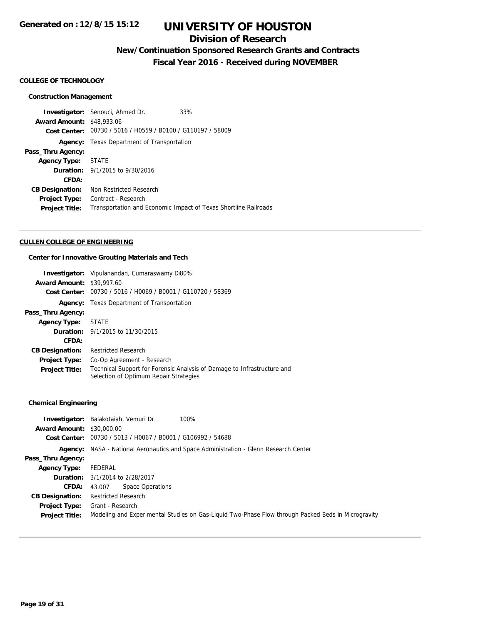## **Division of Research**

# **New/Continuation Sponsored Research Grants and Contracts**

**Fiscal Year 2016 - Received during NOVEMBER**

#### **COLLEGE OF TECHNOLOGY**

#### **Construction Management**

**Investigator:** Senouci, Ahmed Dr. 33% **Award Amount:** \$48,933.06 **Cost Center:** 00730 / 5016 / H0559 / B0100 / G110197 / 58009 **Agency:** Texas Department of Transportation **Pass\_Thru Agency: Agency Type:** STATE **Duration:** 9/1/2015 to 9/30/2016 **CFDA: CB Designation:** Non Restricted Research **Project Type:** Contract - Research Project Title: Transportation and Economic Impact of Texas Shortline Railroads

#### **CULLEN COLLEGE OF ENGINEERING**

#### **Center for Innovative Grouting Materials and Tech**

| <b>Award Amount: \$39,997.60</b> | <b>Investigator:</b> Vipulanandan, Cumaraswamy Di80%<br>Cost Center: 00730 / 5016 / H0069 / B0001 / G110720 / 58369 |  |  |
|----------------------------------|---------------------------------------------------------------------------------------------------------------------|--|--|
|                                  | <b>Agency:</b> Texas Department of Transportation                                                                   |  |  |
| Pass_Thru Agency:                |                                                                                                                     |  |  |
| <b>Agency Type:</b>              | STATE                                                                                                               |  |  |
|                                  | <b>Duration:</b> 9/1/2015 to 11/30/2015                                                                             |  |  |
| CFDA:                            |                                                                                                                     |  |  |
| <b>CB Designation:</b>           | <b>Restricted Research</b>                                                                                          |  |  |
| <b>Project Type:</b>             | Co-Op Agreement - Research                                                                                          |  |  |
| <b>Project Title:</b>            | Technical Support for Forensic Analysis of Damage to Infrastructure and<br>Selection of Optimum Repair Strategies   |  |  |

### **Chemical Engineering**

| <b>Award Amount: \$30,000.00</b> | 100%<br><b>Investigator:</b> Balakotaiah, Vemuri Dr.                                               |
|----------------------------------|----------------------------------------------------------------------------------------------------|
|                                  | Cost Center: 00730 / 5013 / H0067 / B0001 / G106992 / 54688                                        |
| Agency:                          | NASA - National Aeronautics and Space Administration - Glenn Research Center                       |
| Pass_Thru Agency:                |                                                                                                    |
| <b>Agency Type:</b>              | FEDERAL                                                                                            |
|                                  | <b>Duration:</b> 3/1/2014 to 2/28/2017                                                             |
| <b>CFDA:</b>                     | <b>Space Operations</b><br>43.007                                                                  |
| <b>CB Designation:</b>           | <b>Restricted Research</b>                                                                         |
| <b>Project Type:</b>             | Grant - Research                                                                                   |
| <b>Project Title:</b>            | Modeling and Experimental Studies on Gas-Liquid Two-Phase Flow through Packed Beds in Microgravity |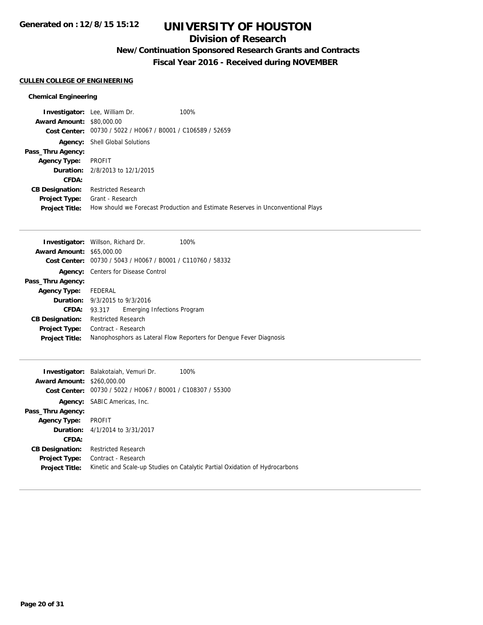## **Division of Research**

# **New/Continuation Sponsored Research Grants and Contracts**

**Fiscal Year 2016 - Received during NOVEMBER**

### **CULLEN COLLEGE OF ENGINEERING**

### **Chemical Engineering**

|                                  | <b>Investigator:</b> Lee, William Dr.                       | 100%                                                                            |
|----------------------------------|-------------------------------------------------------------|---------------------------------------------------------------------------------|
| <b>Award Amount: \$80,000.00</b> |                                                             |                                                                                 |
|                                  | Cost Center: 00730 / 5022 / H0067 / B0001 / C106589 / 52659 |                                                                                 |
|                                  | <b>Agency:</b> Shell Global Solutions                       |                                                                                 |
| Pass_Thru Agency:                |                                                             |                                                                                 |
| <b>Agency Type:</b>              | PROFIT                                                      |                                                                                 |
|                                  | <b>Duration:</b> 2/8/2013 to 12/1/2015                      |                                                                                 |
| CFDA:                            |                                                             |                                                                                 |
| <b>CB Designation:</b>           | <b>Restricted Research</b>                                  |                                                                                 |
| <b>Project Type:</b>             | Grant - Research                                            |                                                                                 |
| <b>Project Title:</b>            |                                                             | How should we Forecast Production and Estimate Reserves in Unconventional Plays |
|                                  |                                                             |                                                                                 |

| <b>Investigator:</b> Willson, Richard Dr. |                            |                                                | 100%                                                               |
|-------------------------------------------|----------------------------|------------------------------------------------|--------------------------------------------------------------------|
| <b>Award Amount: \$65,000.00</b>          |                            |                                                |                                                                    |
| Cost Center:                              |                            | 00730 / 5043 / H0067 / B0001 / C110760 / 58332 |                                                                    |
| Agency:                                   |                            | Centers for Disease Control                    |                                                                    |
| Pass_Thru Agency:                         |                            |                                                |                                                                    |
| <b>Agency Type:</b>                       | FEDERAL                    |                                                |                                                                    |
| <b>Duration:</b> 9/3/2015 to 9/3/2016     |                            |                                                |                                                                    |
| CFDA:                                     | 93.317                     | <b>Emerging Infections Program</b>             |                                                                    |
| <b>CB Designation:</b>                    | <b>Restricted Research</b> |                                                |                                                                    |
| <b>Project Type:</b>                      | Contract - Research        |                                                |                                                                    |
| <b>Project Title:</b>                     |                            |                                                | Nanophosphors as Lateral Flow Reporters for Dengue Fever Diagnosis |

|                                   | Investigator: Balakotaiah, Vemuri Dr.<br>100%                               |
|-----------------------------------|-----------------------------------------------------------------------------|
| <b>Award Amount: \$260,000.00</b> |                                                                             |
| Cost Center:                      | 00730 / 5022 / H0067 / B0001 / C108307 / 55300                              |
|                                   | <b>Agency:</b> SABIC Americas, Inc.                                         |
| Pass_Thru Agency:                 |                                                                             |
| <b>Agency Type:</b>               | PROFIT                                                                      |
|                                   | <b>Duration:</b> 4/1/2014 to 3/31/2017                                      |
| CFDA:                             |                                                                             |
| <b>CB Designation:</b>            | <b>Restricted Research</b>                                                  |
| <b>Project Type:</b>              | Contract - Research                                                         |
| <b>Project Title:</b>             | Kinetic and Scale-up Studies on Catalytic Partial Oxidation of Hydrocarbons |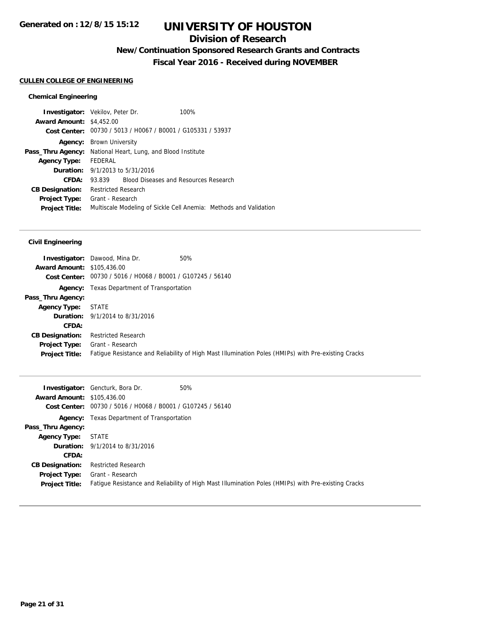## **Division of Research**

# **New/Continuation Sponsored Research Grants and Contracts**

**Fiscal Year 2016 - Received during NOVEMBER**

### **CULLEN COLLEGE OF ENGINEERING**

### **Chemical Engineering**

|                                                             | 100%                                                         |                                                                                                                                                                                                                                        |
|-------------------------------------------------------------|--------------------------------------------------------------|----------------------------------------------------------------------------------------------------------------------------------------------------------------------------------------------------------------------------------------|
| <b>Award Amount: \$4,452.00</b>                             |                                                              |                                                                                                                                                                                                                                        |
| Cost Center: 00730 / 5013 / H0067 / B0001 / G105331 / 53937 |                                                              |                                                                                                                                                                                                                                        |
| <b>Agency:</b> Brown University                             |                                                              |                                                                                                                                                                                                                                        |
|                                                             |                                                              |                                                                                                                                                                                                                                        |
| FEDERAL                                                     |                                                              |                                                                                                                                                                                                                                        |
|                                                             |                                                              |                                                                                                                                                                                                                                        |
|                                                             |                                                              |                                                                                                                                                                                                                                        |
|                                                             |                                                              |                                                                                                                                                                                                                                        |
| Grant - Research                                            |                                                              |                                                                                                                                                                                                                                        |
|                                                             |                                                              |                                                                                                                                                                                                                                        |
|                                                             | <b>Investigator:</b> Vekilov, Peter Dr.<br>Pass_Thru Agency: | National Heart, Lung, and Blood Institute<br><b>Duration:</b> 9/1/2013 to 5/31/2016<br>93.839 Blood Diseases and Resources Research<br><b>Restricted Research</b><br>Multiscale Modeling of Sickle Cell Anemia: Methods and Validation |

### **Civil Engineering**

|                                   | <b>Investigator:</b> Dawood, Mina Dr.<br>50%                                                        |
|-----------------------------------|-----------------------------------------------------------------------------------------------------|
| <b>Award Amount: \$105,436.00</b> |                                                                                                     |
|                                   | Cost Center: 00730 / 5016 / H0068 / B0001 / G107245 / 56140                                         |
|                                   | <b>Agency:</b> Texas Department of Transportation                                                   |
| Pass_Thru Agency:                 |                                                                                                     |
| <b>Agency Type:</b>               | STATE                                                                                               |
|                                   | <b>Duration:</b> 9/1/2014 to 8/31/2016                                                              |
| CFDA:                             |                                                                                                     |
| <b>CB Designation:</b>            | <b>Restricted Research</b>                                                                          |
| <b>Project Type:</b>              | Grant - Research                                                                                    |
| <b>Project Title:</b>             | Fatigue Resistance and Reliability of High Mast Illumination Poles (HMIPs) with Pre-existing Cracks |
|                                   |                                                                                                     |

|                                   | 50%<br><b>Investigator:</b> Gencturk, Bora Dr.                                                      |
|-----------------------------------|-----------------------------------------------------------------------------------------------------|
| <b>Award Amount: \$105,436.00</b> |                                                                                                     |
|                                   | Cost Center: 00730 / 5016 / H0068 / B0001 / G107245 / 56140                                         |
|                                   | <b>Agency:</b> Texas Department of Transportation                                                   |
| Pass_Thru Agency:                 |                                                                                                     |
| <b>Agency Type:</b>               | STATE                                                                                               |
|                                   | <b>Duration:</b> $9/1/2014$ to $8/31/2016$                                                          |
| CFDA:                             |                                                                                                     |
| <b>CB Designation:</b>            | Restricted Research                                                                                 |
| <b>Project Type:</b>              | Grant - Research                                                                                    |
| <b>Project Title:</b>             | Fatigue Resistance and Reliability of High Mast Illumination Poles (HMIPs) with Pre-existing Cracks |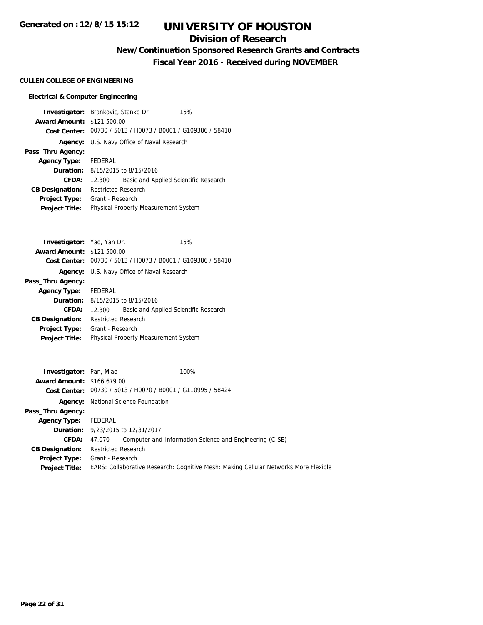## **Division of Research**

# **New/Continuation Sponsored Research Grants and Contracts**

**Fiscal Year 2016 - Received during NOVEMBER**

### **CULLEN COLLEGE OF ENGINEERING**

### **Electrical & Computer Engineering**

| <b>Investigator:</b> Brankovic, Stanko Dr. |                                             |                                                             | 15% |
|--------------------------------------------|---------------------------------------------|-------------------------------------------------------------|-----|
| <b>Award Amount: \$121,500.00</b>          |                                             |                                                             |     |
|                                            |                                             | Cost Center: 00730 / 5013 / H0073 / B0001 / G109386 / 58410 |     |
|                                            | Agency: U.S. Navy Office of Naval Research  |                                                             |     |
| Pass_Thru Agency:                          |                                             |                                                             |     |
| Agency Type: FEDERAL                       |                                             |                                                             |     |
|                                            |                                             | <b>Duration:</b> 8/15/2015 to 8/15/2016                     |     |
| CFDA:                                      | 12.300                                      | Basic and Applied Scientific Research                       |     |
| <b>CB Designation:</b>                     | <b>Restricted Research</b>                  |                                                             |     |
| <b>Project Type:</b>                       | Grant - Research                            |                                                             |     |
| <b>Project Title:</b>                      | <b>Physical Property Measurement System</b> |                                                             |     |

| <b>Investigator:</b> Yao, Yan Dr. |                            |                                                             | 15% |
|-----------------------------------|----------------------------|-------------------------------------------------------------|-----|
| <b>Award Amount: \$121,500.00</b> |                            |                                                             |     |
|                                   |                            | Cost Center: 00730 / 5013 / H0073 / B0001 / G109386 / 58410 |     |
|                                   |                            | <b>Agency:</b> U.S. Navy Office of Naval Research           |     |
| Pass_Thru Agency:                 |                            |                                                             |     |
| Agency Type: FEDERAL              |                            |                                                             |     |
|                                   |                            | <b>Duration:</b> 8/15/2015 to 8/15/2016                     |     |
| CFDA:                             | 12.300                     | Basic and Applied Scientific Research                       |     |
| <b>CB Designation:</b>            | <b>Restricted Research</b> |                                                             |     |
| <b>Project Type:</b>              | Grant - Research           |                                                             |     |
| <b>Project Title:</b>             |                            | <b>Physical Property Measurement System</b>                 |     |

| <b>Investigator:</b> Pan, Miao    | 100%                                                                                 |
|-----------------------------------|--------------------------------------------------------------------------------------|
| <b>Award Amount: \$166,679.00</b> |                                                                                      |
|                                   | Cost Center: 00730 / 5013 / H0070 / B0001 / G110995 / 58424                          |
|                                   | <b>Agency:</b> National Science Foundation                                           |
| Pass_Thru Agency:                 |                                                                                      |
| <b>Agency Type:</b>               | FEDERAL                                                                              |
|                                   | <b>Duration:</b> 9/23/2015 to 12/31/2017                                             |
| <b>CFDA:</b>                      | Computer and Information Science and Engineering (CISE)<br>47.070                    |
| <b>CB Designation:</b>            | <b>Restricted Research</b>                                                           |
| <b>Project Type:</b>              | Grant - Research                                                                     |
| <b>Project Title:</b>             | EARS: Collaborative Research: Cognitive Mesh: Making Cellular Networks More Flexible |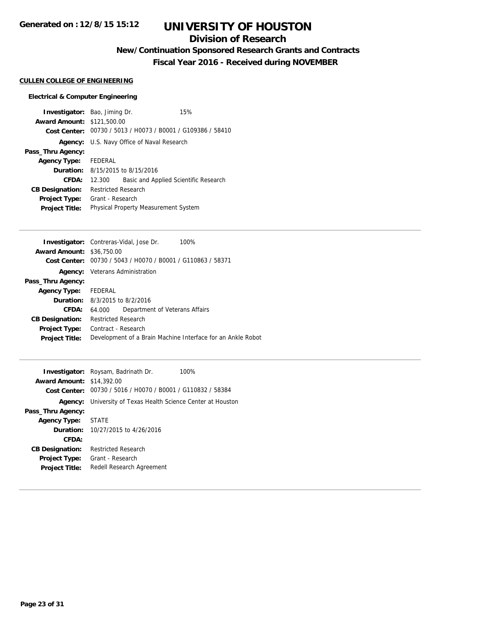## **Division of Research**

# **New/Continuation Sponsored Research Grants and Contracts**

**Fiscal Year 2016 - Received during NOVEMBER**

### **CULLEN COLLEGE OF ENGINEERING**

### **Electrical & Computer Engineering**

| <b>Investigator:</b> Bao, Jiming Dr. |                                      |                                                             | 15% |
|--------------------------------------|--------------------------------------|-------------------------------------------------------------|-----|
| <b>Award Amount: \$121,500.00</b>    |                                      |                                                             |     |
|                                      |                                      | Cost Center: 00730 / 5013 / H0073 / B0001 / G109386 / 58410 |     |
|                                      |                                      | Agency: U.S. Navy Office of Naval Research                  |     |
| Pass_Thru Agency:                    |                                      |                                                             |     |
| Agency Type: FEDERAL                 |                                      |                                                             |     |
|                                      |                                      | <b>Duration:</b> $8/15/2015$ to $8/15/2016$                 |     |
| CFDA:                                | 12.300                               | Basic and Applied Scientific Research                       |     |
| <b>CB Designation:</b>               | <b>Restricted Research</b>           |                                                             |     |
| <b>Project Type:</b>                 | Grant - Research                     |                                                             |     |
| <b>Project Title:</b>                | Physical Property Measurement System |                                                             |     |

|                                  | <b>Investigator:</b> Contreras-Vidal, Jose Dr.<br>100%      |
|----------------------------------|-------------------------------------------------------------|
| <b>Award Amount: \$36,750.00</b> |                                                             |
|                                  | Cost Center: 00730 / 5043 / H0070 / B0001 / G110863 / 58371 |
|                                  | <b>Agency:</b> Veterans Administration                      |
| Pass_Thru Agency:                |                                                             |
| Agency Type: FEDERAL             |                                                             |
|                                  | <b>Duration:</b> 8/3/2015 to 8/2/2016                       |
| CFDA:                            | Department of Veterans Affairs<br>64.000                    |
| <b>CB Designation:</b>           | <b>Restricted Research</b>                                  |
| <b>Project Type:</b>             | Contract - Research                                         |
| <b>Project Title:</b>            | Development of a Brain Machine Interface for an Ankle Robot |
|                                  |                                                             |

|                                  | <b>Investigator:</b> Roysam, Badrinath Dr.<br>100%   |
|----------------------------------|------------------------------------------------------|
| <b>Award Amount: \$14,392.00</b> |                                                      |
| Cost Center:                     | 00730 / 5016 / H0070 / B0001 / G110832 / 58384       |
| Agency:                          | University of Texas Health Science Center at Houston |
| Pass_Thru Agency:                |                                                      |
| <b>Agency Type:</b>              | <b>STATE</b>                                         |
|                                  | <b>Duration:</b> 10/27/2015 to 4/26/2016             |
| CFDA:                            |                                                      |
| <b>CB Designation:</b>           | <b>Restricted Research</b>                           |
| <b>Project Type:</b>             | Grant - Research                                     |
| <b>Project Title:</b>            | Redell Research Agreement                            |
|                                  |                                                      |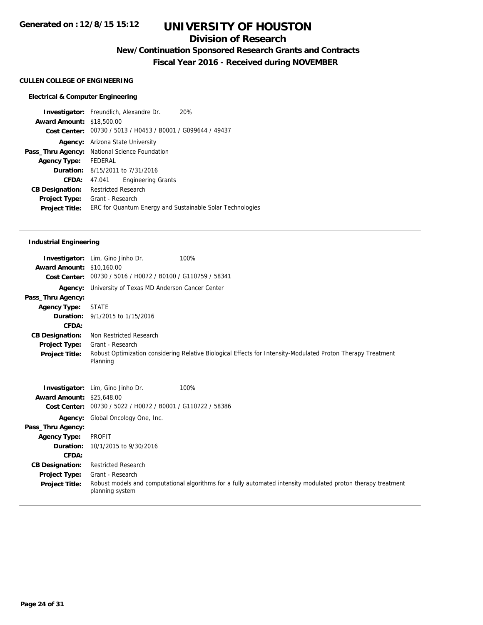## **Division of Research**

# **New/Continuation Sponsored Research Grants and Contracts**

**Fiscal Year 2016 - Received during NOVEMBER**

## **CULLEN COLLEGE OF ENGINEERING**

### **Electrical & Computer Engineering**

|                                  | <b>Investigator:</b> Freundlich, Alexandre Dr.              | 20% |
|----------------------------------|-------------------------------------------------------------|-----|
| <b>Award Amount: \$18,500.00</b> |                                                             |     |
|                                  | Cost Center: 00730 / 5013 / H0453 / B0001 / G099644 / 49437 |     |
|                                  | <b>Agency:</b> Arizona State University                     |     |
|                                  | Pass_Thru Agency: National Science Foundation               |     |
| <b>Agency Type:</b>              | FEDERAL                                                     |     |
|                                  | <b>Duration:</b> $8/15/2011$ to $7/31/2016$                 |     |
| CFDA:                            | <b>Engineering Grants</b><br>47.041                         |     |
| <b>CB Designation:</b>           | <b>Restricted Research</b>                                  |     |
| <b>Project Type:</b>             | Grant - Research                                            |     |
| <b>Project Title:</b>            | ERC for Quantum Energy and Sustainable Solar Technologies   |     |
|                                  |                                                             |     |

### **Industrial Engineering**

| <b>Award Amount: \$10,160.00</b> | 100%<br><b>Investigator:</b> Lim, Gino Jinho Dr.<br>Cost Center: 00730 / 5016 / H0072 / B0100 / G110759 / 58341          |
|----------------------------------|--------------------------------------------------------------------------------------------------------------------------|
|                                  | <b>Agency:</b> University of Texas MD Anderson Cancer Center                                                             |
| Pass_Thru Agency:                |                                                                                                                          |
| <b>Agency Type:</b>              | STATE                                                                                                                    |
|                                  | <b>Duration:</b> 9/1/2015 to 1/15/2016                                                                                   |
| CFDA:                            |                                                                                                                          |
| <b>CB Designation:</b>           | Non Restricted Research                                                                                                  |
| <b>Project Type:</b>             | Grant - Research                                                                                                         |
| <b>Project Title:</b>            | Robust Optimization considering Relative Biological Effects for Intensity-Modulated Proton Therapy Treatment<br>Planning |

| <b>Award Amount: \$25,648.00</b><br><b>Cost Center:</b> | <b>Investigator:</b> Lim, Gino Jinho Dr.<br>00730 / 5022 / H0072 / B0001 / G110722 / 58386 | 100%                                                                                                          |
|---------------------------------------------------------|--------------------------------------------------------------------------------------------|---------------------------------------------------------------------------------------------------------------|
|                                                         | <b>Agency:</b> Global Oncology One, Inc.                                                   |                                                                                                               |
| Pass_Thru Agency:                                       |                                                                                            |                                                                                                               |
| <b>Agency Type:</b>                                     | PROFIT                                                                                     |                                                                                                               |
|                                                         | <b>Duration:</b> 10/1/2015 to 9/30/2016                                                    |                                                                                                               |
| CFDA:                                                   |                                                                                            |                                                                                                               |
| <b>CB Designation:</b>                                  | <b>Restricted Research</b>                                                                 |                                                                                                               |
| <b>Project Type:</b>                                    | Grant - Research                                                                           |                                                                                                               |
| <b>Project Title:</b>                                   | planning system                                                                            | Robust models and computational algorithms for a fully automated intensity modulated proton therapy treatment |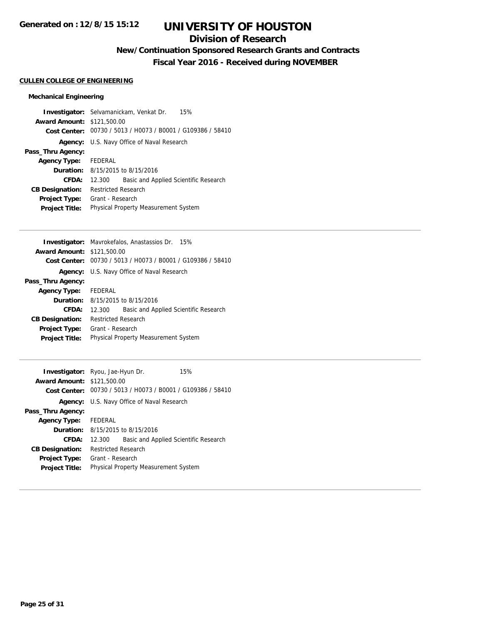## **Division of Research**

# **New/Continuation Sponsored Research Grants and Contracts**

**Fiscal Year 2016 - Received during NOVEMBER**

### **CULLEN COLLEGE OF ENGINEERING**

### **Mechanical Engineering**

|                                   | <b>Investigator:</b> Selvamanickam, Venkat Dr.<br>15%       |
|-----------------------------------|-------------------------------------------------------------|
| <b>Award Amount: \$121,500.00</b> |                                                             |
|                                   | Cost Center: 00730 / 5013 / H0073 / B0001 / G109386 / 58410 |
|                                   | <b>Agency:</b> U.S. Navy Office of Naval Research           |
| Pass_Thru Agency:                 |                                                             |
| Agency Type: FEDERAL              |                                                             |
|                                   | <b>Duration:</b> 8/15/2015 to 8/15/2016                     |
| CFDA:                             | Basic and Applied Scientific Research<br>12.300             |
| <b>CB Designation:</b>            | <b>Restricted Research</b>                                  |
| <b>Project Type:</b>              | Grant - Research                                            |
| <b>Project Title:</b>             | <b>Physical Property Measurement System</b>                 |

|                                   | <b>Investigator:</b> Mavrokefalos, Anastassios Dr. 15%      |  |  |
|-----------------------------------|-------------------------------------------------------------|--|--|
| <b>Award Amount: \$121,500.00</b> |                                                             |  |  |
|                                   | Cost Center: 00730 / 5013 / H0073 / B0001 / G109386 / 58410 |  |  |
|                                   | Agency: U.S. Navy Office of Naval Research                  |  |  |
| Pass_Thru Agency:                 |                                                             |  |  |
| <b>Agency Type:</b> FEDERAL       |                                                             |  |  |
|                                   | <b>Duration:</b> 8/15/2015 to 8/15/2016                     |  |  |
| CFDA:                             | Basic and Applied Scientific Research<br>12.300             |  |  |
| <b>CB Designation:</b>            | <b>Restricted Research</b>                                  |  |  |
| <b>Project Type:</b>              | Grant - Research                                            |  |  |
| <b>Project Title:</b>             | Physical Property Measurement System                        |  |  |
|                                   |                                                             |  |  |

| Investigator: Ryou, Jae-Hyun Dr.<br><b>Award Amount: \$121,500.00</b> |                                             |                                                             | 15% |
|-----------------------------------------------------------------------|---------------------------------------------|-------------------------------------------------------------|-----|
|                                                                       |                                             | Cost Center: 00730 / 5013 / H0073 / B0001 / G109386 / 58410 |     |
|                                                                       | Agency: U.S. Navy Office of Naval Research  |                                                             |     |
| Pass_Thru Agency:                                                     |                                             |                                                             |     |
| <b>Agency Type:</b>                                                   | FEDERAL                                     |                                                             |     |
|                                                                       | <b>Duration:</b> 8/15/2015 to 8/15/2016     |                                                             |     |
| CFDA:                                                                 | 12.300                                      | Basic and Applied Scientific Research                       |     |
| <b>CB Designation:</b>                                                | <b>Restricted Research</b>                  |                                                             |     |
| <b>Project Type:</b>                                                  | Grant - Research                            |                                                             |     |
| <b>Project Title:</b>                                                 | <b>Physical Property Measurement System</b> |                                                             |     |
|                                                                       |                                             |                                                             |     |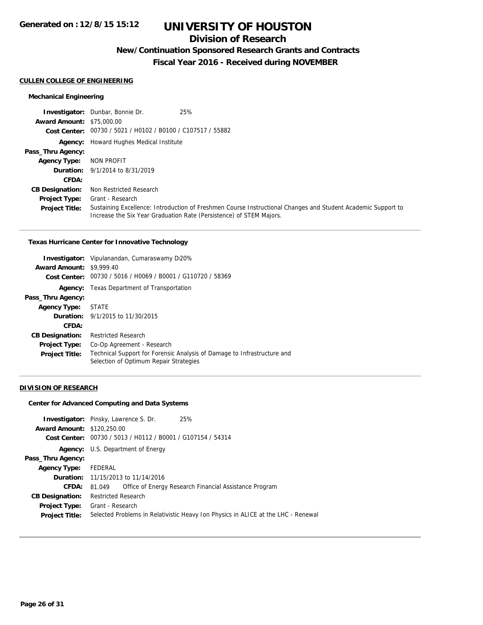## **Division of Research**

## **New/Continuation Sponsored Research Grants and Contracts**

**Fiscal Year 2016 - Received during NOVEMBER**

#### **CULLEN COLLEGE OF ENGINEERING**

### **Mechanical Engineering**

|                                  | <b>Investigator:</b> Dunbar, Bonnie Dr.<br>25%                                                                                                                                      |
|----------------------------------|-------------------------------------------------------------------------------------------------------------------------------------------------------------------------------------|
| <b>Award Amount: \$75,000.00</b> |                                                                                                                                                                                     |
|                                  | Cost Center: 00730 / 5021 / H0102 / B0100 / C107517 / 55882                                                                                                                         |
|                                  | <b>Agency:</b> Howard Hughes Medical Institute                                                                                                                                      |
| Pass_Thru Agency:                |                                                                                                                                                                                     |
| <b>Agency Type:</b>              | NON PROFIT                                                                                                                                                                          |
|                                  | <b>Duration:</b> 9/1/2014 to 8/31/2019                                                                                                                                              |
| CFDA:                            |                                                                                                                                                                                     |
| <b>CB Designation:</b>           | Non Restricted Research                                                                                                                                                             |
| <b>Project Type:</b>             | Grant - Research                                                                                                                                                                    |
| <b>Project Title:</b>            | Sustaining Excellence: Introduction of Freshmen Course Instructional Changes and Student Academic Support to<br>Increase the Six Year Graduation Rate (Persistence) of STEM Majors. |

#### **Texas Hurricane Center for Innovative Technology**

| <b>Award Amount: \$9,999.40</b> | Investigator: Vipulanandan, Cumaraswamy Di20%                                                                     |  |
|---------------------------------|-------------------------------------------------------------------------------------------------------------------|--|
|                                 | Cost Center: 00730 / 5016 / H0069 / B0001 / G110720 / 58369                                                       |  |
|                                 | <b>Agency:</b> Texas Department of Transportation                                                                 |  |
| Pass_Thru Agency:               |                                                                                                                   |  |
| <b>Agency Type:</b>             | STATE                                                                                                             |  |
|                                 | <b>Duration:</b> 9/1/2015 to 11/30/2015                                                                           |  |
| <b>CFDA:</b>                    |                                                                                                                   |  |
| <b>CB Designation:</b>          | <b>Restricted Research</b>                                                                                        |  |
| <b>Project Type:</b>            | Co-Op Agreement - Research                                                                                        |  |
| <b>Project Title:</b>           | Technical Support for Forensic Analysis of Damage to Infrastructure and<br>Selection of Optimum Repair Strategies |  |

#### **DIVISION OF RESEARCH**

### **Center for Advanced Computing and Data Systems**

| <b>Award Amount: \$120,250.00</b> | <b>Investigator:</b> Pinsky, Lawrence S. Dr. | 25%<br>Cost Center: 00730 / 5013 / H0112 / B0001 / G107154 / 54314                |  |
|-----------------------------------|----------------------------------------------|-----------------------------------------------------------------------------------|--|
|                                   | <b>Agency:</b> U.S. Department of Energy     |                                                                                   |  |
| Pass_Thru Agency:                 |                                              |                                                                                   |  |
| <b>Agency Type:</b>               | FEDERAL                                      |                                                                                   |  |
|                                   | <b>Duration:</b> 11/15/2013 to 11/14/2016    |                                                                                   |  |
| CFDA:                             | 81.049                                       | Office of Energy Research Financial Assistance Program                            |  |
| <b>CB Designation:</b>            | <b>Restricted Research</b>                   |                                                                                   |  |
| <b>Project Type:</b>              | Grant - Research                             |                                                                                   |  |
| <b>Project Title:</b>             |                                              | Selected Problems in Relativistic Heavy Ion Physics in ALICE at the LHC - Renewal |  |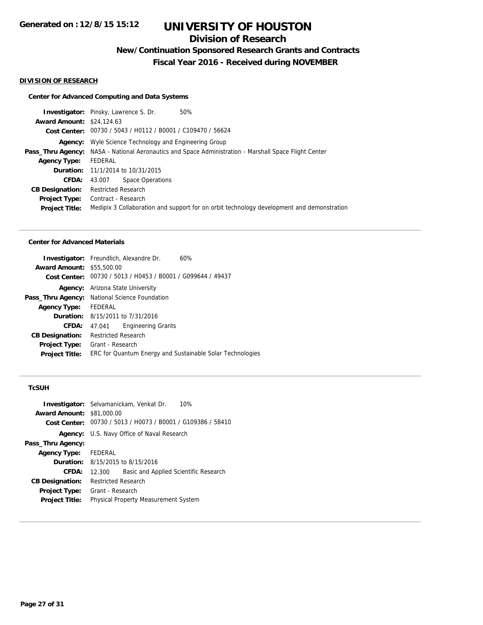# **Division of Research**

**New/Continuation Sponsored Research Grants and Contracts**

**Fiscal Year 2016 - Received during NOVEMBER**

#### **DIVISION OF RESEARCH**

#### **Center for Advanced Computing and Data Systems**

**Investigator:** Pinsky, Lawrence S. Dr. 50% **Award Amount:** \$24,124.63 **Cost Center:** 00730 / 5043 / H0112 / B0001 / C109470 / 56624 **Agency:** Wyle Science Technology and Engineering Group Pass\_Thru Agency: NASA - National Aeronautics and Space Administration - Marshall Space Flight Center **Agency Type:** FEDERAL **Duration:** 11/1/2014 to 10/31/2015 **CFDA:** 43.007 Space Operations **CB Designation:** Restricted Research **Project Type:** Contract - Research **Project Title:** Medipix 3 Collaboration and support for on orbit technology development and demonstration

#### **Center for Advanced Materials**

|                                  | <b>Investigator:</b> Freundlich, Alexandre Dr.              | 60% |  |
|----------------------------------|-------------------------------------------------------------|-----|--|
| <b>Award Amount: \$55,500.00</b> |                                                             |     |  |
|                                  | Cost Center: 00730 / 5013 / H0453 / B0001 / G099644 / 49437 |     |  |
| Agency:                          | Arizona State University                                    |     |  |
| Pass_Thru Agency:                | National Science Foundation                                 |     |  |
| <b>Agency Type:</b>              | FEDERAL                                                     |     |  |
|                                  | <b>Duration:</b> 8/15/2011 to 7/31/2016                     |     |  |
| <b>CFDA:</b>                     | <b>Engineering Grants</b><br>47.041                         |     |  |
| <b>CB Designation:</b>           | <b>Restricted Research</b>                                  |     |  |
| <b>Project Type:</b>             | Grant - Research                                            |     |  |
| <b>Project Title:</b>            | ERC for Quantum Energy and Sustainable Solar Technologies   |     |  |

### **TcSUH**

| <b>Award Amount: \$81,000.00</b> | <b>Investigator:</b> Selvamanickam, Venkat Dr.<br>10%<br>Cost Center: 00730 / 5013 / H0073 / B0001 / G109386 / 58410 |  |  |
|----------------------------------|----------------------------------------------------------------------------------------------------------------------|--|--|
|                                  | <b>Agency:</b> U.S. Navy Office of Naval Research                                                                    |  |  |
| Pass_Thru Agency:                |                                                                                                                      |  |  |
| <b>Agency Type:</b>              | FEDERAL                                                                                                              |  |  |
|                                  | <b>Duration:</b> $8/15/2015$ to $8/15/2016$                                                                          |  |  |
| CFDA:                            | Basic and Applied Scientific Research<br>12.300                                                                      |  |  |
| <b>CB Designation:</b>           | <b>Restricted Research</b>                                                                                           |  |  |
| <b>Project Type:</b>             | Grant - Research                                                                                                     |  |  |
| <b>Project Title:</b>            | <b>Physical Property Measurement System</b>                                                                          |  |  |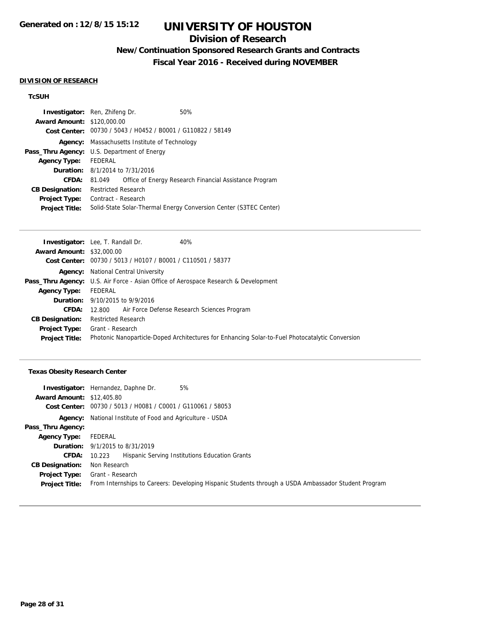## **Division of Research**

# **New/Continuation Sponsored Research Grants and Contracts**

**Fiscal Year 2016 - Received during NOVEMBER**

#### **DIVISION OF RESEARCH**

### **TcSUH**

| <b>Investigator:</b> Ren, Zhifeng Dr. |                                                             |  | 50%                                                               |
|---------------------------------------|-------------------------------------------------------------|--|-------------------------------------------------------------------|
| <b>Award Amount: \$120,000.00</b>     |                                                             |  |                                                                   |
|                                       | Cost Center: 00730 / 5043 / H0452 / B0001 / G110822 / 58149 |  |                                                                   |
| Agency:                               | Massachusetts Institute of Technology                       |  |                                                                   |
|                                       | <b>Pass_Thru Agency:</b> U.S. Department of Energy          |  |                                                                   |
| <b>Agency Type:</b>                   | FEDERAL                                                     |  |                                                                   |
|                                       | <b>Duration:</b> 8/1/2014 to 7/31/2016                      |  |                                                                   |
| <b>CFDA:</b>                          | 81.049                                                      |  | Office of Energy Research Financial Assistance Program            |
| <b>CB Designation:</b>                | <b>Restricted Research</b>                                  |  |                                                                   |
| <b>Project Type:</b>                  | Contract - Research                                         |  |                                                                   |
| <b>Project Title:</b>                 |                                                             |  | Solid-State Solar-Thermal Energy Conversion Center (S3TEC Center) |

|                                  | Investigator: Lee, T. Randall Dr.                           | 40%                                                                                             |
|----------------------------------|-------------------------------------------------------------|-------------------------------------------------------------------------------------------------|
| <b>Award Amount: \$32,000.00</b> |                                                             |                                                                                                 |
|                                  | Cost Center: 00730 / 5013 / H0107 / B0001 / C110501 / 58377 |                                                                                                 |
| Agency:                          | National Central University                                 |                                                                                                 |
|                                  |                                                             | <b>Pass_Thru Agency:</b> U.S. Air Force - Asian Office of Aerospace Research & Development      |
| <b>Agency Type:</b>              | FEDERAL                                                     |                                                                                                 |
|                                  | <b>Duration:</b> 9/10/2015 to 9/9/2016                      |                                                                                                 |
| <b>CFDA:</b>                     | 12.800                                                      | Air Force Defense Research Sciences Program                                                     |
| <b>CB Designation:</b>           | <b>Restricted Research</b>                                  |                                                                                                 |
| <b>Project Type:</b>             | Grant - Research                                            |                                                                                                 |
| <b>Project Title:</b>            |                                                             | Photonic Nanoparticle-Doped Architectures for Enhancing Solar-to-Fuel Photocatalytic Conversion |
|                                  |                                                             |                                                                                                 |

### **Texas Obesity Research Center**

|                                  | 5%<br><b>Investigator:</b> Hernandez, Daphne Dr.                                                    |
|----------------------------------|-----------------------------------------------------------------------------------------------------|
| <b>Award Amount: \$12,405.80</b> |                                                                                                     |
|                                  | Cost Center: 00730 / 5013 / H0081 / C0001 / G110061 / 58053                                         |
|                                  | <b>Agency:</b> National Institute of Food and Agriculture - USDA                                    |
| Pass_Thru Agency:                |                                                                                                     |
| Agency Type:                     | FEDERAL                                                                                             |
|                                  | <b>Duration:</b> 9/1/2015 to 8/31/2019                                                              |
| <b>CFDA:</b>                     | Hispanic Serving Institutions Education Grants<br>10.223                                            |
| <b>CB Designation:</b>           | Non Research                                                                                        |
| <b>Project Type:</b>             | Grant - Research                                                                                    |
| <b>Project Title:</b>            | From Internships to Careers: Developing Hispanic Students through a USDA Ambassador Student Program |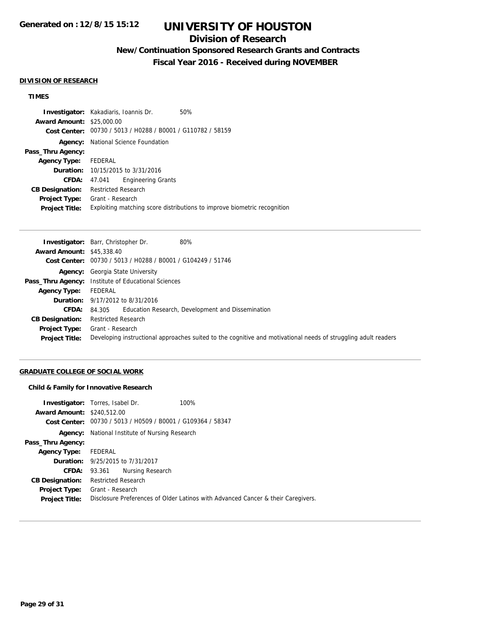# **Division of Research**

# **New/Continuation Sponsored Research Grants and Contracts**

**Fiscal Year 2016 - Received during NOVEMBER**

#### **DIVISION OF RESEARCH**

### **TIMES**

|                                  | <b>Investigator:</b> Kakadiaris, Ioannis Dr.                | 50%                                                                      |
|----------------------------------|-------------------------------------------------------------|--------------------------------------------------------------------------|
| <b>Award Amount: \$25,000.00</b> |                                                             |                                                                          |
|                                  | Cost Center: 00730 / 5013 / H0288 / B0001 / G110782 / 58159 |                                                                          |
| Agency:                          | National Science Foundation                                 |                                                                          |
| Pass_Thru Agency:                |                                                             |                                                                          |
| <b>Agency Type:</b>              | FEDERAL                                                     |                                                                          |
|                                  | <b>Duration:</b> 10/15/2015 to 3/31/2016                    |                                                                          |
| <b>CFDA:</b>                     | <b>Engineering Grants</b><br>47.041                         |                                                                          |
| <b>CB Designation:</b>           | <b>Restricted Research</b>                                  |                                                                          |
| Project Type:                    | Grant - Research                                            |                                                                          |
| <b>Project Title:</b>            |                                                             | Exploiting matching score distributions to improve biometric recognition |

|                                  | <b>Investigator:</b> Barr, Christopher Dr.<br>80%                                                              |
|----------------------------------|----------------------------------------------------------------------------------------------------------------|
| <b>Award Amount: \$45,338.40</b> |                                                                                                                |
|                                  | Cost Center: 00730 / 5013 / H0288 / B0001 / G104249 / 51746                                                    |
|                                  | <b>Agency:</b> Georgia State University                                                                        |
|                                  | <b>Pass_Thru Agency:</b> Institute of Educational Sciences                                                     |
| <b>Agency Type:</b>              | FEDERAL                                                                                                        |
|                                  | <b>Duration:</b> 9/17/2012 to 8/31/2016                                                                        |
| <b>CFDA:</b>                     | Education Research, Development and Dissemination<br>84.305                                                    |
| <b>CB Designation:</b>           | <b>Restricted Research</b>                                                                                     |
| Project Type:                    | Grant - Research                                                                                               |
| <b>Project Title:</b>            | Developing instructional approaches suited to the cognitive and motivational needs of struggling adult readers |

### **GRADUATE COLLEGE OF SOCIAL WORK**

#### **Child & Family for Innovative Research**

|                                   | <b>Investigator:</b> Torres, Isabel Dr.                     | 100%                                                                             |  |
|-----------------------------------|-------------------------------------------------------------|----------------------------------------------------------------------------------|--|
| <b>Award Amount: \$240,512.00</b> |                                                             |                                                                                  |  |
|                                   | Cost Center: 00730 / 5013 / H0509 / B0001 / G109364 / 58347 |                                                                                  |  |
|                                   | <b>Agency:</b> National Institute of Nursing Research       |                                                                                  |  |
| Pass_Thru Agency:                 |                                                             |                                                                                  |  |
| <b>Agency Type:</b>               | FEDERAL                                                     |                                                                                  |  |
|                                   | <b>Duration:</b> 9/25/2015 to 7/31/2017                     |                                                                                  |  |
| <b>CFDA:</b>                      | Nursing Research<br>93.361                                  |                                                                                  |  |
| <b>CB Designation:</b>            | Restricted Research                                         |                                                                                  |  |
| <b>Project Type:</b>              | Grant - Research                                            |                                                                                  |  |
| <b>Project Title:</b>             |                                                             | Disclosure Preferences of Older Latinos with Advanced Cancer & their Caregivers. |  |
|                                   |                                                             |                                                                                  |  |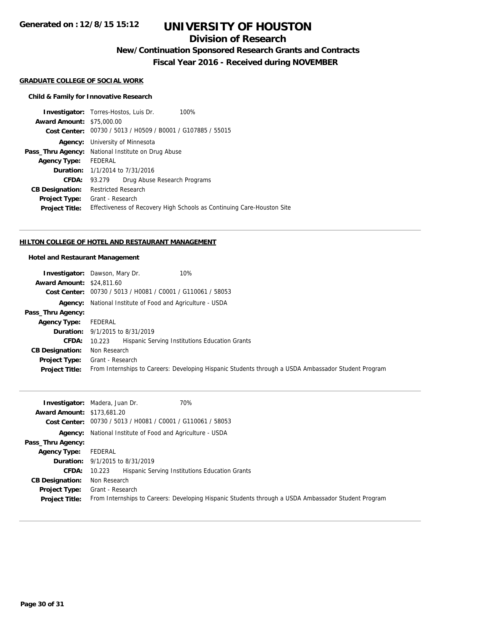## **Division of Research**

## **New/Continuation Sponsored Research Grants and Contracts**

**Fiscal Year 2016 - Received during NOVEMBER**

#### **GRADUATE COLLEGE OF SOCIAL WORK**

### **Child & Family for Innovative Research**

|                                  | <b>Investigator:</b> Torres-Hostos, Luis Dr.                | 100%                                                                   |
|----------------------------------|-------------------------------------------------------------|------------------------------------------------------------------------|
| <b>Award Amount: \$75,000.00</b> |                                                             |                                                                        |
|                                  | Cost Center: 00730 / 5013 / H0509 / B0001 / G107885 / 55015 |                                                                        |
| Agency:                          | University of Minnesota                                     |                                                                        |
|                                  | <b>Pass_Thru Agency:</b> National Institute on Drug Abuse   |                                                                        |
| <b>Agency Type:</b>              | FEDERAL                                                     |                                                                        |
|                                  | <b>Duration:</b> 1/1/2014 to 7/31/2016                      |                                                                        |
| <b>CFDA:</b>                     | Drug Abuse Research Programs<br>93.279                      |                                                                        |
| <b>CB Designation:</b>           | <b>Restricted Research</b>                                  |                                                                        |
| <b>Project Type:</b>             | Grant - Research                                            |                                                                        |
| <b>Project Title:</b>            |                                                             | Effectiveness of Recovery High Schools as Continuing Care-Houston Site |
|                                  |                                                             |                                                                        |

#### **HILTON COLLEGE OF HOTEL AND RESTAURANT MANAGEMENT**

#### **Hotel and Restaurant Management**

|                                  | 10%<br><b>Investigator:</b> Dawson, Mary Dr.                                                        |  |  |  |
|----------------------------------|-----------------------------------------------------------------------------------------------------|--|--|--|
| <b>Award Amount: \$24,811.60</b> |                                                                                                     |  |  |  |
|                                  | Cost Center: 00730 / 5013 / H0081 / C0001 / G110061 / 58053                                         |  |  |  |
|                                  | <b>Agency:</b> National Institute of Food and Agriculture - USDA                                    |  |  |  |
| Pass_Thru Agency:                |                                                                                                     |  |  |  |
| <b>Agency Type:</b>              | FEDERAL                                                                                             |  |  |  |
|                                  | <b>Duration:</b> 9/1/2015 to 8/31/2019                                                              |  |  |  |
| CFDA:                            | Hispanic Serving Institutions Education Grants<br>10.223                                            |  |  |  |
| <b>CB Designation:</b>           | Non Research                                                                                        |  |  |  |
| <b>Project Type:</b>             | Grant - Research                                                                                    |  |  |  |
| <b>Project Title:</b>            | From Internships to Careers: Developing Hispanic Students through a USDA Ambassador Student Program |  |  |  |

|                                   | 70%<br><b>Investigator:</b> Madera, Juan Dr.                                                        |  |  |
|-----------------------------------|-----------------------------------------------------------------------------------------------------|--|--|
| <b>Award Amount: \$173,681.20</b> |                                                                                                     |  |  |
|                                   | Cost Center: 00730 / 5013 / H0081 / C0001 / G110061 / 58053                                         |  |  |
|                                   | <b>Agency:</b> National Institute of Food and Agriculture - USDA                                    |  |  |
| Pass_Thru Agency:                 |                                                                                                     |  |  |
| <b>Agency Type:</b>               | FEDERAL                                                                                             |  |  |
|                                   | <b>Duration:</b> $9/1/2015$ to $8/31/2019$                                                          |  |  |
| <b>CFDA:</b>                      | Hispanic Serving Institutions Education Grants<br>10.223                                            |  |  |
| <b>CB Designation:</b>            | Non Research                                                                                        |  |  |
| Project Type:                     | Grant - Research                                                                                    |  |  |
| <b>Project Title:</b>             | From Internships to Careers: Developing Hispanic Students through a USDA Ambassador Student Program |  |  |